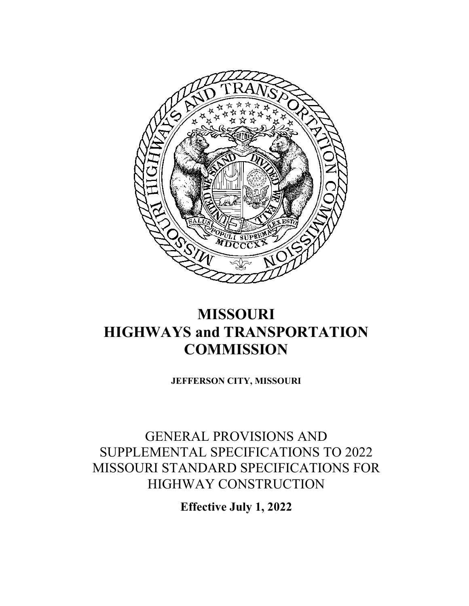

# **MISSOURI HIGHWAYS and TRANSPORTATION COMMISSION**

**JEFFERSON CITY, MISSOURI**

## GENERAL PROVISIONS AND SUPPLEMENTAL SPECIFICATIONS TO 2022 MISSOURI STANDARD SPECIFICATIONS FOR HIGHWAY CONSTRUCTION

**Effective July 1, 2022**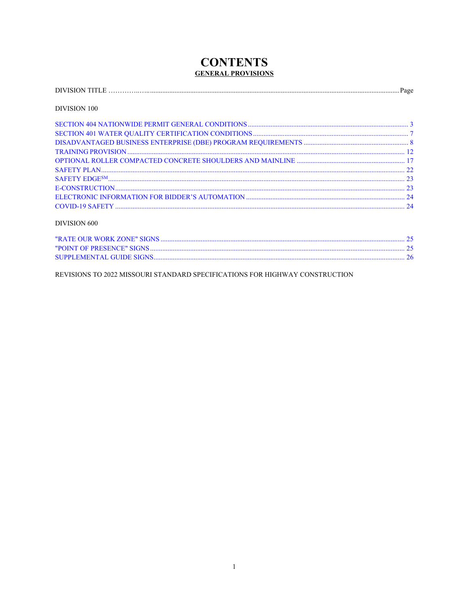## **CONTENTS GENERAL PROVISIONS**

| аос |
|-----|
|-----|

## DIVISION 100

## DIVISION 600

REVISIONS TO 2022 MISSOURI STANDARD SPECIFICATIONS FOR HIGHWAY CONSTRUCTION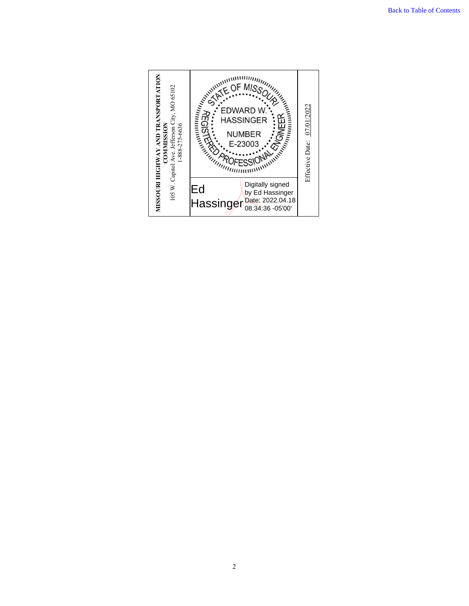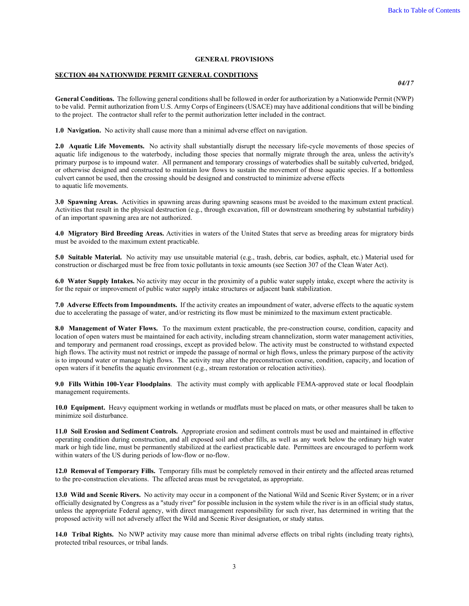#### **GENERAL PROVISIONS**

#### <span id="page-3-0"></span>**SECTION 404 NATIONWIDE PERMIT GENERAL CONDITIONS**

*04/17*

**General Conditions.** The following general conditions shall be followed in order for authorization by a Nationwide Permit (NWP) to be valid. Permit authorization from U.S. Army Corps of Engineers (USACE) may have additional conditions that will be binding to the project. The contractor shall refer to the permit authorization letter included in the contract.

**1.0 Navigation.** No activity shall cause more than a minimal adverse effect on navigation.

2.0 Aquatic Life Movements. No activity shall substantially disrupt the necessary life-cycle movements of those species of aquatic life indigenous to the waterbody, including those species that normally migrate through the area, unless the activity's primary purpose is to impound water. All permanent and temporary crossings of waterbodies shall be suitably culverted, bridged, or otherwise designed and constructed to maintain low flows to sustain the movement of those aquatic species. If a bottomless culvert cannot be used, then the crossing should be designed and constructed to minimize adverse effects to aquatic life movements.

**3.0 Spawning Areas.** Activities in spawning areas during spawning seasons must be avoided to the maximum extent practical. Activities that result in the physical destruction (e.g., through excavation, fill or downstream smothering by substantial turbidity) of an important spawning area are not authorized.

**4.0 Migratory Bird Breeding Areas.** Activities in waters of the United States that serve as breeding areas for migratory birds must be avoided to the maximum extent practicable.

**5.0 Suitable Material.** No activity may use unsuitable material (e.g., trash, debris, car bodies, asphalt, etc.) Material used for construction or discharged must be free from toxic pollutants in toxic amounts (see Section 307 of the Clean Water Act).

**6.0 Water Supply Intakes.** No activity may occur in the proximity of a public water supply intake, except where the activity is for the repair or improvement of public water supply intake structures or adjacent bank stabilization.

**7.0 Adverse Effects from Impoundments.** If the activity creates an impoundment of water, adverse effects to the aquatic system due to accelerating the passage of water, and/or restricting its flow must be minimized to the maximum extent practicable.

**8.0 Management of Water Flows.** To the maximum extent practicable, the pre-construction course, condition, capacity and location of open waters must be maintained for each activity, including stream channelization, storm water management activities, and temporary and permanent road crossings, except as provided below. The activity must be constructed to withstand expected high flows. The activity must not restrict or impede the passage of normal or high flows, unless the primary purpose of the activity is to impound water or manage high flows. The activity may alter the preconstruction course, condition, capacity, and location of open waters if it benefits the aquatic environment (e.g., stream restoration or relocation activities).

**9.0 Fills Within 100-Year Floodplains**. The activity must comply with applicable FEMA-approved state or local floodplain management requirements.

**10.0 Equipment.** Heavy equipment working in wetlands or mudflats must be placed on mats, or other measures shall be taken to minimize soil disturbance.

**11.0 Soil Erosion and Sediment Controls.** Appropriate erosion and sediment controls must be used and maintained in effective operating condition during construction, and all exposed soil and other fills, as well as any work below the ordinary high water mark or high tide line, must be permanently stabilized at the earliest practicable date. Permittees are encouraged to perform work within waters of the US during periods of low-flow or no-flow.

**12.0 Removal of Temporary Fills.** Temporary fills must be completely removed in their entirety and the affected areas returned to the pre-construction elevations. The affected areas must be revegetated, as appropriate.

**13.0 Wild and Scenic Rivers.** No activity may occur in a component of the National Wild and Scenic River System; or in a river officially designated by Congress as a "study river" for possible inclusion in the system while the river is in an official study status, unless the appropriate Federal agency, with direct management responsibility for such river, has determined in writing that the proposed activity will not adversely affect the Wild and Scenic River designation, or study status.

**14.0 Tribal Rights.** No NWP activity may cause more than minimal adverse effects on tribal rights (including treaty rights), protected tribal resources, or tribal lands.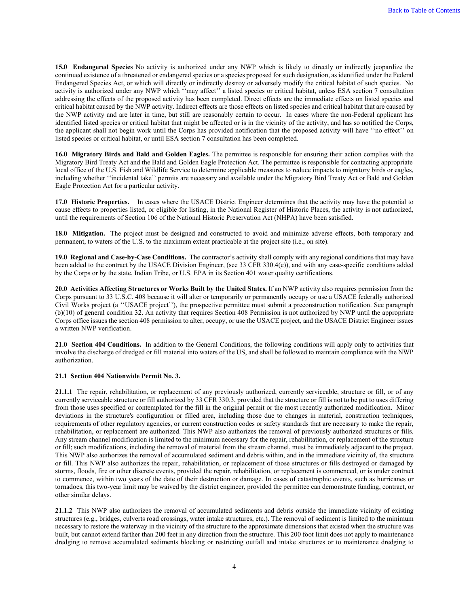**15.0 Endangered Species** No activity is authorized under any NWP which is likely to directly or indirectly jeopardize the continued existence of a threatened or endangered species or a species proposed for such designation, as identified under the Federal Endangered Species Act, or which will directly or indirectly destroy or adversely modify the critical habitat of such species. No activity is authorized under any NWP which ''may affect'' a listed species or critical habitat, unless ESA section 7 consultation addressing the effects of the proposed activity has been completed. Direct effects are the immediate effects on listed species and critical habitat caused by the NWP activity. Indirect effects are those effects on listed species and critical habitat that are caused by the NWP activity and are later in time, but still are reasonably certain to occur. In cases where the non-Federal applicant has identified listed species or critical habitat that might be affected or is in the vicinity of the activity, and has so notified the Corps, the applicant shall not begin work until the Corps has provided notification that the proposed activity will have ''no effect'' on listed species or critical habitat, or until ESA section 7 consultation has been completed.

**16.0 Migratory Birds and Bald and Golden Eagles.** The permittee is responsible for ensuring their action complies with the Migratory Bird Treaty Act and the Bald and Golden Eagle Protection Act. The permittee is responsible for contacting appropriate local office of the U.S. Fish and Wildlife Service to determine applicable measures to reduce impacts to migratory birds or eagles, including whether ''incidental take'' permits are necessary and available under the Migratory Bird Treaty Act or Bald and Golden Eagle Protection Act for a particular activity.

**17.0 Historic Properties.** In cases where the USACE District Engineer determines that the activity may have the potential to cause effects to properties listed, or eligible for listing, in the National Register of Historic Places, the activity is not authorized, until the requirements of Section 106 of the National Historic Preservation Act (NHPA) have been satisfied.

**18.0 Mitigation.** The project must be designed and constructed to avoid and minimize adverse effects, both temporary and permanent, to waters of the U.S. to the maximum extent practicable at the project site (i.e., on site).

**19.0 Regional and Case-by-Case Conditions.** The contractor's activity shall comply with any regional conditions that may have been added to the contract by the USACE Division Engineer, (see 33 CFR 330.4(e)), and with any case-specific conditions added by the Corps or by the state, Indian Tribe, or U.S. EPA in its Section 401 water quality certifications.

**20.0 Activities Affecting Structures or Works Built by the United States.** If an NWP activity also requires permission from the Corps pursuant to 33 U.S.C. 408 because it will alter or temporarily or permanently occupy or use a USACE federally authorized Civil Works project (a ''USACE project''), the prospective permittee must submit a preconstruction notification. See paragraph (b)(10) of general condition 32. An activity that requires Section 408 Permission is not authorized by NWP until the appropriate Corps office issues the section 408 permission to alter, occupy, or use the USACE project, and the USACE District Engineer issues a written NWP verification.

**21.0 Section 404 Conditions.** In addition to the General Conditions, the following conditions will apply only to activities that involve the discharge of dredged or fill material into waters of the US, and shall be followed to maintain compliance with the NWP authorization.

#### **21.1 Section 404 Nationwide Permit No. 3.**

**21.1.1** The repair, rehabilitation, or replacement of any previously authorized, currently serviceable, structure or fill, or of any currently serviceable structure or fill authorized by 33 CFR 330.3, provided that the structure or fill is not to be put to uses differing from those uses specified or contemplated for the fill in the original permit or the most recently authorized modification. Minor deviations in the structure's configuration or filled area, including those due to changes in material, construction techniques, requirements of other regulatory agencies, or current construction codes or safety standards that are necessary to make the repair, rehabilitation, or replacement are authorized. This NWP also authorizes the removal of previously authorized structures or fills. Any stream channel modification is limited to the minimum necessary for the repair, rehabilitation, or replacement of the structure or fill; such modifications, including the removal of material from the stream channel, must be immediately adjacent to the project. This NWP also authorizes the removal of accumulated sediment and debris within, and in the immediate vicinity of, the structure or fill. This NWP also authorizes the repair, rehabilitation, or replacement of those structures or fills destroyed or damaged by storms, floods, fire or other discrete events, provided the repair, rehabilitation, or replacement is commenced, or is under contract to commence, within two years of the date of their destruction or damage. In cases of catastrophic events, such as hurricanes or tornadoes, this two-year limit may be waived by the district engineer, provided the permittee can demonstrate funding, contract, or other similar delays.

**21.1.2** This NWP also authorizes the removal of accumulated sediments and debris outside the immediate vicinity of existing structures (e.g., bridges, culverts road crossings, water intake structures, etc.). The removal of sediment is limited to the minimum necessary to restore the waterway in the vicinity of the structure to the approximate dimensions that existed when the structure was built, but cannot extend farther than 200 feet in any direction from the structure. This 200 foot limit does not apply to maintenance dredging to remove accumulated sediments blocking or restricting outfall and intake structures or to maintenance dredging to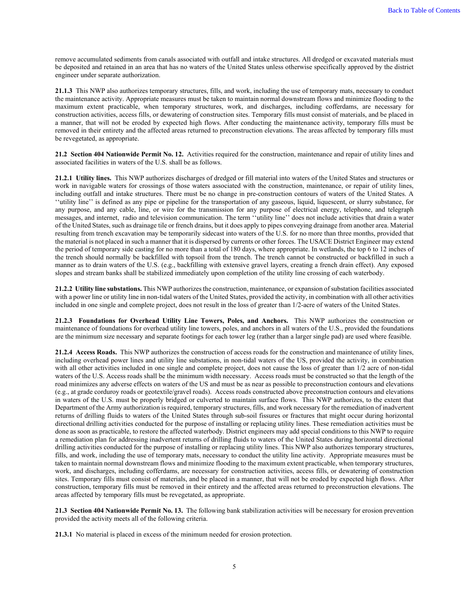remove accumulated sediments from canals associated with outfall and intake structures. All dredged or excavated materials must be deposited and retained in an area that has no waters of the United States unless otherwise specifically approved by the district engineer under separate authorization.

**21.1.3** This NWP also authorizes temporary structures, fills, and work, including the use of temporary mats, necessary to conduct the maintenance activity. Appropriate measures must be taken to maintain normal downstream flows and minimize flooding to the maximum extent practicable, when temporary structures, work, and discharges, including cofferdams, are necessary for construction activities, access fills, or dewatering of construction sites. Temporary fills must consist of materials, and be placed in a manner, that will not be eroded by expected high flows. After conducting the maintenance activity, temporary fills must be removed in their entirety and the affected areas returned to preconstruction elevations. The areas affected by temporary fills must be revegetated, as appropriate.

**21.2 Section 404 Nationwide Permit No. 12.** Activities required for the construction, maintenance and repair of utility lines and associated facilities in waters of the U.S. shall be as follows.

**21.2.1 Utility lines.** This NWP authorizes discharges of dredged or fill material into waters of the United States and structures or work in navigable waters for crossings of those waters associated with the construction, maintenance, or repair of utility lines, including outfall and intake structures. There must be no change in pre-construction contours of waters of the United States. A ''utility line'' is defined as any pipe or pipeline for the transportation of any gaseous, liquid, liquescent, or slurry substance, for any purpose, and any cable, line, or wire for the transmission for any purpose of electrical energy, telephone, and telegraph messages, and internet, radio and television communication. The term ''utility line'' does not include activities that drain a water of the United States, such as drainage tile or french drains, but it does apply to pipes conveying drainage from another area. Material resulting from trench excavation may be temporarily sidecast into waters of the U.S. for no more than three months, provided that the material is not placed in such a manner that it is dispersed by currents or other forces. The USACE District Engineer may extend the period of temporary side casting for no more than a total of 180 days, where appropriate. In wetlands, the top 6 to 12 inches of the trench should normally be backfilled with topsoil from the trench. The trench cannot be constructed or backfilled in such a manner as to drain waters of the U.S. (e.g., backfilling with extensive gravel layers, creating a french drain effect). Any exposed slopes and stream banks shall be stabilized immediately upon completion of the utility line crossing of each waterbody.

**21.2.2 Utility line substations.** This NWP authorizes the construction, maintenance, or expansion of substation facilities associated with a power line or utility line in non-tidal waters of the United States, provided the activity, in combination with all other activities included in one single and complete project, does not result in the loss of greater than 1/2-acre of waters of the United States.

**21.2.3 Foundations for Overhead Utility Line Towers, Poles, and Anchors.** This NWP authorizes the construction or maintenance of foundations for overhead utility line towers, poles, and anchors in all waters of the U.S., provided the foundations are the minimum size necessary and separate footings for each tower leg (rather than a larger single pad) are used where feasible.

**21.2.4 Access Roads.** This NWP authorizes the construction of access roads for the construction and maintenance of utility lines, including overhead power lines and utility line substations, in non-tidal waters of the US, provided the activity, in combination with all other activities included in one single and complete project, does not cause the loss of greater than  $1/2$  acre of non-tidal waters of the U.S. Access roads shall be the minimum width necessary. Access roads must be constructed so that the length of the road minimizes any adverse effects on waters of the US and must be as near as possible to preconstruction contours and elevations (e.g., at grade corduroy roads or geotextile/gravel roads). Access roads constructed above preconstruction contours and elevations in waters of the U.S. must be properly bridged or culverted to maintain surface flows. This NWP authorizes, to the extent that Department of the Army authorization is required, temporary structures, fills, and work necessary for the remediation of inadvertent returns of drilling fluids to waters of the United States through sub-soil fissures or fractures that might occur during horizontal directional drilling activities conducted for the purpose of installing or replacing utility lines. These remediation activities must be done as soon as practicable, to restore the affected waterbody. District engineers may add special conditions to this NWP to require a remediation plan for addressing inadvertent returns of drilling fluids to waters of the United States during horizontal directional drilling activities conducted for the purpose of installing or replacing utility lines. This NWP also authorizes temporary structures, fills, and work, including the use of temporary mats, necessary to conduct the utility line activity. Appropriate measures must be taken to maintain normal downstream flows and minimize flooding to the maximum extent practicable, when temporary structures, work, and discharges, including cofferdams, are necessary for construction activities, access fills, or dewatering of construction sites. Temporary fills must consist of materials, and be placed in a manner, that will not be eroded by expected high flows. After construction, temporary fills must be removed in their entirety and the affected areas returned to preconstruction elevations. The areas affected by temporary fills must be revegetated, as appropriate.

**21.3 Section 404 Nationwide Permit No. 13.** The following bank stabilization activities will be necessary for erosion prevention provided the activity meets all of the following criteria.

**21.3.1** No material is placed in excess of the minimum needed for erosion protection.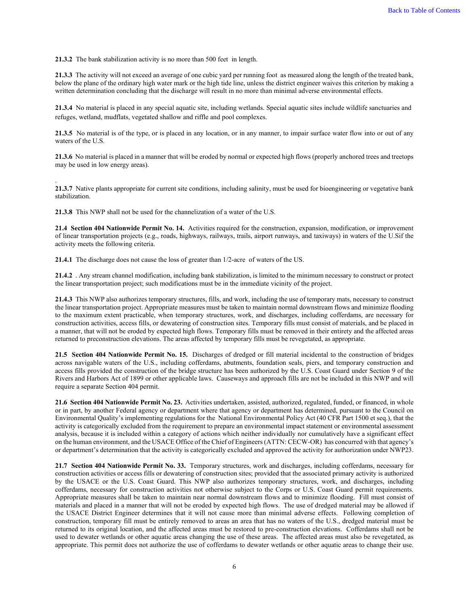**21.3.2** The bank stabilization activity is no more than 500 feet in length.

**21.3.3** The activity will not exceed an average of one cubic yard per running foot as measured along the length of the treated bank, below the plane of the ordinary high water mark or the high tide line, unless the district engineer waives this criterion by making a written determination concluding that the discharge will result in no more than minimal adverse environmental effects.

**21.3.4** No material is placed in any special aquatic site, including wetlands. Special aquatic sites include wildlife sanctuaries and refuges, wetland, mudflats, vegetated shallow and riffle and pool complexes.

**21.3.5** No material is of the type, or is placed in any location, or in any manner, to impair surface water flow into or out of any waters of the U.S.

**21.3.6** No material is placed in a manner that will be eroded by normal or expected high flows (properly anchored trees and treetops may be used in low energy areas).

**21.3.7** Native plants appropriate for current site conditions, including salinity, must be used for bioengineering or vegetative bank stabilization.

**21.3.8** This NWP shall not be used for the channelization of a water of the U.S.

.

**21.4 Section 404 Nationwide Permit No. 14.** Activities required for the construction, expansion, modification, or improvement of linear transportation projects (e.g., roads, highways, railways, trails, airport runways, and taxiways) in waters of the U.Sif the activity meets the following criteria.

**21.4.1** The discharge does not cause the loss of greater than 1/2-acre of waters of the US.

**21.4.2** . Any stream channel modification, including bank stabilization, is limited to the minimum necessary to construct or protect the linear transportation project; such modifications must be in the immediate vicinity of the project.

**21.4.3** This NWP also authorizes temporary structures, fills, and work, including the use of temporary mats, necessary to construct the linear transportation project. Appropriate measures must be taken to maintain normal downstream flows and minimize flooding to the maximum extent practicable, when temporary structures, work, and discharges, including cofferdams, are necessary for construction activities, access fills, or dewatering of construction sites. Temporary fills must consist of materials, and be placed in a manner, that will not be eroded by expected high flows. Temporary fills must be removed in their entirety and the affected areas returned to preconstruction elevations. The areas affected by temporary fills must be revegetated, as appropriate.

**21.5 Section 404 Nationwide Permit No. 15.** Discharges of dredged or fill material incidental to the construction of bridges across navigable waters of the U.S., including cofferdams, abutments, foundation seals, piers, and temporary construction and access fills provided the construction of the bridge structure has been authorized by the U.S. Coast Guard under Section 9 of the Rivers and Harbors Act of 1899 or other applicable laws. Causeways and approach fills are not be included in this NWP and will require a separate Section 404 permit.

**21.6 Section 404 Nationwide Permit No. 23.** Activities undertaken, assisted, authorized, regulated, funded, or financed, in whole or in part, by another Federal agency or department where that agency or department has determined, pursuant to the Council on Environmental Quality's implementing regulations for the National Environmental Policy Act (40 CFR Part 1500 et seq.), that the activity is categorically excluded from the requirement to prepare an environmental impact statement or environmental assessment analysis, because it is included within a category of actions which neither individually nor cumulatively have a significant effect on the human environment, and the USACE Office of the Chief of Engineers (ATTN: CECW-OR) has concurred with that agency's or department's determination that the activity is categorically excluded and approved the activity for authorization under NWP23.

**21.7 Section 404 Nationwide Permit No. 33.** Temporary structures, work and discharges, including cofferdams, necessary for construction activities or access fills or dewatering of construction sites; provided that the associated primary activity is authorized by the USACE or the U.S. Coast Guard. This NWP also authorizes temporary structures, work, and discharges, including cofferdams, necessary for construction activities not otherwise subject to the Corps or U.S. Coast Guard permit requirements. Appropriate measures shall be taken to maintain near normal downstream flows and to minimize flooding. Fill must consist of materials and placed in a manner that will not be eroded by expected high flows. The use of dredged material may be allowed if the USACE District Engineer determines that it will not cause more than minimal adverse effects. Following completion of construction, temporary fill must be entirely removed to areas an area that has no waters of the U.S., dredged material must be returned to its original location, and the affected areas must be restored to pre-construction elevations. Cofferdams shall not be used to dewater wetlands or other aquatic areas changing the use of these areas. The affected areas must also be revegetated, as appropriate. This permit does not authorize the use of cofferdams to dewater wetlands or other aquatic areas to change their use.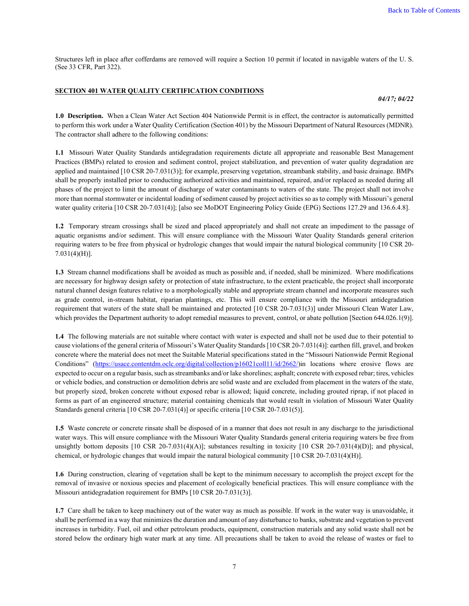Structures left in place after cofferdams are removed will require a Section 10 permit if located in navigable waters of the U. S. (See 33 CFR, Part 322).

#### <span id="page-7-0"></span>**SECTION 401 WATER QUALITY CERTIFICATION CONDITIONS**

*04/17; 04/22*

**1.0 Description.** When a Clean Water Act Section 404 Nationwide Permit is in effect, the contractor is automatically permitted to perform this work under a Water Quality Certification (Section 401) by the Missouri Department of Natural Resources (MDNR). The contractor shall adhere to the following conditions:

**1.1** Missouri Water Quality Standards antidegradation requirements dictate all appropriate and reasonable Best Management Practices (BMPs) related to erosion and sediment control, project stabilization, and prevention of water quality degradation are applied and maintained [10 CSR 20-7.031(3)]; for example, preserving vegetation, streambank stability, and basic drainage. BMPs shall be properly installed prior to conducting authorized activities and maintained, repaired, and/or replaced as needed during all phases of the project to limit the amount of discharge of water contaminants to waters of the state. The project shall not involve more than normal stormwater or incidental loading of sediment caused by project activities so as to comply with Missouri's general water quality criteria [10 CSR 20-7.031(4)]; [also see MoDOT Engineering Policy Guide (EPG) Sections 127.29 and 136.6.4.8].

**1.2** Temporary stream crossings shall be sized and placed appropriately and shall not create an impediment to the passage of aquatic organisms and/or sediment. This will ensure compliance with the Missouri Water Quality Standards general criterion requiring waters to be free from physical or hydrologic changes that would impair the natural biological community [10 CSR 20- 7.031(4)(H)].

**1.3** Stream channel modifications shall be avoided as much as possible and, if needed, shall be minimized. Where modifications are necessary for highway design safety or protection of state infrastructure, to the extent practicable, the project shall incorporate natural channel design features relative to a morphologically stable and appropriate stream channel and incorporate measures such as grade control, in-stream habitat, riparian plantings, etc. This will ensure compliance with the Missouri antidegradation requirement that waters of the state shall be maintained and protected [10 CSR 20-7.031(3)] under Missouri Clean Water Law, which provides the Department authority to adopt remedial measures to prevent, control, or abate pollution [Section 644.026.1(9)].

**1.4** The following materials are not suitable where contact with water is expected and shall not be used due to their potential to cause violations of the general criteria of Missouri's Water Quality Standards [10 CSR 20-7.031(4)]: earthen fill, gravel, and broken concrete where the material does not meet the Suitable Material specifications stated in the "Missouri Nationwide Permit Regional Conditions" [\(https://usace.contentdm.oclc.org/digital/collection/p16021coll11/id/2662/\)](https://usace.contentdm.oclc.org/digital/collection/p16021coll11/id/2662/)in locations where erosive flows are expected to occur on a regular basis, such as streambanks and/or lake shorelines; asphalt; concrete with exposed rebar; tires, vehicles or vehicle bodies, and construction or demolition debris are solid waste and are excluded from placement in the waters of the state, but properly sized, broken concrete without exposed rebar is allowed; liquid concrete, including grouted riprap, if not placed in forms as part of an engineered structure; material containing chemicals that would result in violation of Missouri Water Quality Standards general criteria [10 CSR 20-7.031(4)] or specific criteria [10 CSR 20-7.031(5)].

**1.5** Waste concrete or concrete rinsate shall be disposed of in a manner that does not result in any discharge to the jurisdictional water ways. This will ensure compliance with the Missouri Water Quality Standards general criteria requiring waters be free from unsightly bottom deposits  $[10 \text{ CSR } 20-7.031(4)(A)];$  substances resulting in toxicity  $[10 \text{ CSR } 20-7.031(4)(D)];$  and physical, chemical, or hydrologic changes that would impair the natural biological community [10 CSR 20-7.031(4)(H)].

**1.6** During construction, clearing of vegetation shall be kept to the minimum necessary to accomplish the project except for the removal of invasive or noxious species and placement of ecologically beneficial practices. This will ensure compliance with the Missouri antidegradation requirement for BMPs [10 CSR 20-7.031(3)].

**1.7** Care shall be taken to keep machinery out of the water way as much as possible. If work in the water way is unavoidable, it shall be performed in a way that minimizes the duration and amount of any disturbance to banks, substrate and vegetation to prevent increases in turbidity. Fuel, oil and other petroleum products, equipment, construction materials and any solid waste shall not be stored below the ordinary high water mark at any time. All precautions shall be taken to avoid the release of wastes or fuel to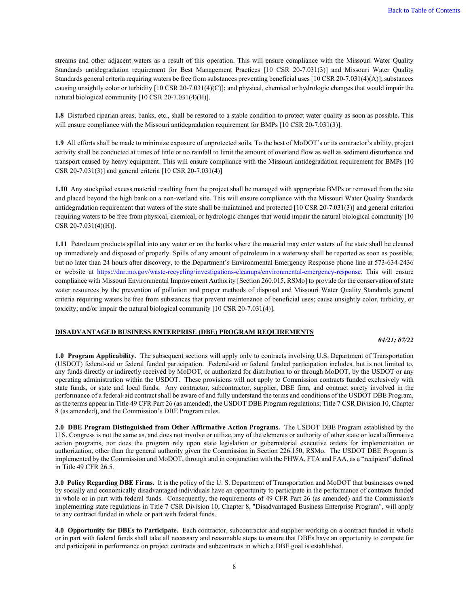streams and other adjacent waters as a result of this operation. This will ensure compliance with the Missouri Water Quality Standards antidegradation requirement for Best Management Practices [10 CSR 20-7.031(3)] and Missouri Water Quality Standards general criteria requiring waters be free from substances preventing beneficial uses [10 CSR 20-7.031(4)(A)]; substances causing unsightly color or turbidity [10 CSR 20-7.031(4)(C)]; and physical, chemical or hydrologic changes that would impair the natural biological community [10 CSR 20-7.031(4)(H)].

**1.8** Disturbed riparian areas, banks, etc., shall be restored to a stable condition to protect water quality as soon as possible. This will ensure compliance with the Missouri antidegradation requirement for BMPs [10 CSR 20-7.031(3)].

**1.9** All efforts shall be made to minimize exposure of unprotected soils. To the best of MoDOT's or its contractor's ability, project activity shall be conducted at times of little or no rainfall to limit the amount of overland flow as well as sediment disturbance and transport caused by heavy equipment. This will ensure compliance with the Missouri antidegradation requirement for BMPs [10 CSR 20-7.031(3)] and general criteria [10 CSR 20-7.031(4)]

**1.10** Any stockpiled excess material resulting from the project shall be managed with appropriate BMPs or removed from the site and placed beyond the high bank on a non-wetland site. This will ensure compliance with the Missouri Water Quality Standards antidegradation requirement that waters of the state shall be maintained and protected [10 CSR 20-7.031(3)] and general criterion requiring waters to be free from physical, chemical, or hydrologic changes that would impair the natural biological community [10 CSR 20-7.031(4)(H)].

**1.11** Petroleum products spilled into any water or on the banks where the material may enter waters of the state shall be cleaned up immediately and disposed of properly. Spills of any amount of petroleum in a waterway shall be reported as soon as possible, but no later than 24 hours after discovery, to the Department's Environmental Emergency Response phone line at 573-634-2436 or website at [https://dnr.mo.gov/waste-recycling/investigations-cleanups/environmental-emergency-response.](https://dnr.mo.gov/waste-recycling/investigations-cleanups/environmental-emergency-response) This will ensure compliance with Missouri Environmental Improvement Authority [Section 260.015, RSMo] to provide for the conservation of state water resources by the prevention of pollution and proper methods of disposal and Missouri Water Quality Standards general criteria requiring waters be free from substances that prevent maintenance of beneficial uses; cause unsightly color, turbidity, or toxicity; and/or impair the natural biological community [10 CSR 20-7.031(4)].

### <span id="page-8-0"></span>**DISADVANTAGED BUSINESS ENTERPRISE (DBE) PROGRAM REQUIREMENTS**

*04/21; 07/22*

**1.0 Program Applicability.** The subsequent sections will apply only to contracts involving U.S. Department of Transportation (USDOT) federal-aid or federal funded participation. Federal-aid or federal funded participation includes, but is not limited to, any funds directly or indirectly received by MoDOT, or authorized for distribution to or through MoDOT, by the USDOT or any operating administration within the USDOT. These provisions will not apply to Commission contracts funded exclusively with state funds, or state and local funds. Any contractor, subcontractor, supplier, DBE firm, and contract surety involved in the performance of a federal-aid contract shall be aware of and fully understand the terms and conditions of the USDOT DBE Program, as the terms appear in Title 49 CFR Part 26 (as amended), the USDOT DBE Program regulations; Title 7 CSR Division 10, Chapter 8 (as amended), and the Commission's DBE Program rules.

**2.0 DBE Program Distinguished from Other Affirmative Action Programs.** The USDOT DBE Program established by the U.S. Congress is not the same as, and does not involve or utilize, any of the elements or authority of other state or local affirmative action programs, nor does the program rely upon state legislation or gubernatorial executive orders for implementation or authorization, other than the general authority given the Commission in Section 226.150, RSMo. The USDOT DBE Program is implemented by the Commission and MoDOT, through and in conjunction with the FHWA, FTA and FAA, as a "recipient" defined in Title 49 CFR 26.5.

**3.0 Policy Regarding DBE Firms.** It is the policy of the U. S. Department of Transportation and MoDOT that businesses owned by socially and economically disadvantaged individuals have an opportunity to participate in the performance of contracts funded in whole or in part with federal funds. Consequently, the requirements of 49 CFR Part 26 (as amended) and the Commission's implementing state regulations in Title 7 CSR Division 10, Chapter 8, "Disadvantaged Business Enterprise Program", will apply to any contract funded in whole or part with federal funds.

**4.0 Opportunity for DBEs to Participate.** Each contractor, subcontractor and supplier working on a contract funded in whole or in part with federal funds shall take all necessary and reasonable steps to ensure that DBEs have an opportunity to compete for and participate in performance on project contracts and subcontracts in which a DBE goal is established.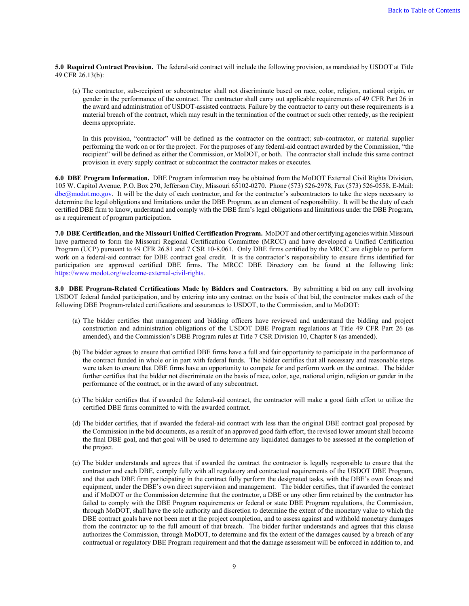**5.0 Required Contract Provision.** The federal-aid contract will include the following provision, as mandated by USDOT at Title 49 CFR 26.13(b):

(a) The contractor, sub-recipient or subcontractor shall not discriminate based on race, color, religion, national origin, or gender in the performance of the contract. The contractor shall carry out applicable requirements of 49 CFR Part 26 in the award and administration of USDOT-assisted contracts. Failure by the contractor to carry out these requirements is a material breach of the contract, which may result in the termination of the contract or such other remedy, as the recipient deems appropriate.

In this provision, "contractor" will be defined as the contractor on the contract; sub-contractor, or material supplier performing the work on or for the project. For the purposes of any federal-aid contract awarded by the Commission, "the recipient" will be defined as either the Commission, or MoDOT, or both. The contractor shall include this same contract provision in every supply contract or subcontract the contractor makes or executes.

**6.0 DBE Program Information.** DBE Program information may be obtained from the MoDOT External Civil Rights Division, 105 W. Capitol Avenue, P.O. Box 270, Jefferson City, Missouri 65102-0270. Phone (573) 526-2978, Fax (573) 526-0558, E-Mail: [dbe@modot.mo.gov.](mailto:dbe@modot.mo.gov) It will be the duty of each contractor, and for the contractor's subcontractors to take the steps necessary to determine the legal obligations and limitations under the DBE Program, as an element of responsibility. It will be the duty of each certified DBE firm to know, understand and comply with the DBE firm's legal obligations and limitations under the DBE Program, as a requirement of program participation.

**7.0 DBE Certification, and the Missouri Unified Certification Program.** MoDOT and other certifying agencies within Missouri have partnered to form the Missouri Regional Certification Committee (MRCC) and have developed a Unified Certification Program (UCP) pursuant to 49 CFR 26.81 and 7 CSR 10-8.061. Only DBE firms certified by the MRCC are eligible to perform work on a federal-aid contract for DBE contract goal credit. It is the contractor's responsibility to ensure firms identified for participation are approved certified DBE firms. The MRCC DBE Directory can be found at the following link: [https://www.modot.org/welcome-external-civil-rights.](https://www.modot.org/welcome-external-civil-rights)

**8.0 DBE Program-Related Certifications Made by Bidders and Contractors.** By submitting a bid on any call involving USDOT federal funded participation, and by entering into any contract on the basis of that bid, the contractor makes each of the following DBE Program-related certifications and assurances to USDOT, to the Commission, and to MoDOT:

- (a) The bidder certifies that management and bidding officers have reviewed and understand the bidding and project construction and administration obligations of the USDOT DBE Program regulations at Title 49 CFR Part 26 (as amended), and the Commission's DBE Program rules at Title 7 CSR Division 10, Chapter 8 (as amended).
- (b) The bidder agrees to ensure that certified DBE firms have a full and fair opportunity to participate in the performance of the contract funded in whole or in part with federal funds. The bidder certifies that all necessary and reasonable steps were taken to ensure that DBE firms have an opportunity to compete for and perform work on the contract. The bidder further certifies that the bidder not discriminate on the basis of race, color, age, national origin, religion or gender in the performance of the contract, or in the award of any subcontract.
- (c) The bidder certifies that if awarded the federal-aid contract, the contractor will make a good faith effort to utilize the certified DBE firms committed to with the awarded contract.
- (d) The bidder certifies, that if awarded the federal-aid contract with less than the original DBE contract goal proposed by the Commission in the bid documents, as a result of an approved good faith effort, the revised lower amount shall become the final DBE goal, and that goal will be used to determine any liquidated damages to be assessed at the completion of the project.
- (e) The bidder understands and agrees that if awarded the contract the contractor is legally responsible to ensure that the contractor and each DBE, comply fully with all regulatory and contractual requirements of the USDOT DBE Program, and that each DBE firm participating in the contract fully perform the designated tasks, with the DBE's own forces and equipment, under the DBE's own direct supervision and management. The bidder certifies, that if awarded the contract and if MoDOT or the Commission determine that the contractor, a DBE or any other firm retained by the contractor has failed to comply with the DBE Program requirements or federal or state DBE Program regulations, the Commission, through MoDOT, shall have the sole authority and discretion to determine the extent of the monetary value to which the DBE contract goals have not been met at the project completion, and to assess against and withhold monetary damages from the contractor up to the full amount of that breach. The bidder further understands and agrees that this clause authorizes the Commission, through MoDOT, to determine and fix the extent of the damages caused by a breach of any contractual or regulatory DBE Program requirement and that the damage assessment will be enforced in addition to, and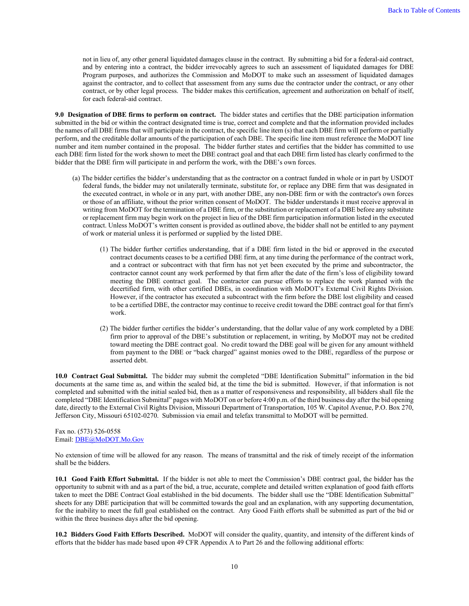not in lieu of, any other general liquidated damages clause in the contract. By submitting a bid for a federal-aid contract, and by entering into a contract, the bidder irrevocably agrees to such an assessment of liquidated damages for DBE Program purposes, and authorizes the Commission and MoDOT to make such an assessment of liquidated damages against the contractor, and to collect that assessment from any sums due the contractor under the contract, or any other contract, or by other legal process. The bidder makes this certification, agreement and authorization on behalf of itself, for each federal-aid contract.

**9.0 Designation of DBE firms to perform on contract.** The bidder states and certifies that the DBE participation information submitted in the bid or within the contract designated time is true, correct and complete and that the information provided includes the names of all DBE firms that will participate in the contract, the specific line item (s) that each DBE firm will perform or partially perform, and the creditable dollar amounts of the participation of each DBE. The specific line item must reference the MoDOT line number and item number contained in the proposal. The bidder further states and certifies that the bidder has committed to use each DBE firm listed for the work shown to meet the DBE contract goal and that each DBE firm listed has clearly confirmed to the bidder that the DBE firm will participate in and perform the work, with the DBE's own forces.

- (a) The bidder certifies the bidder's understanding that as the contractor on a contract funded in whole or in part by USDOT federal funds, the bidder may not unilaterally terminate, substitute for, or replace any DBE firm that was designated in the executed contract, in whole or in any part, with another DBE, any non-DBE firm or with the contractor's own forces or those of an affiliate, without the prior written consent of MoDOT. The bidder understands it must receive approval in writing from MoDOT for the termination of a DBE firm, or the substitution or replacement of a DBE before any substitute or replacement firm may begin work on the project in lieu of the DBE firm participation information listed in the executed contract. Unless MoDOT's written consent is provided as outlined above, the bidder shall not be entitled to any payment of work or material unless it is performed or supplied by the listed DBE.
	- (1) The bidder further certifies understanding, that if a DBE firm listed in the bid or approved in the executed contract documents ceases to be a certified DBE firm, at any time during the performance of the contract work, and a contract or subcontract with that firm has not yet been executed by the prime and subcontractor, the contractor cannot count any work performed by that firm after the date of the firm's loss of eligibility toward meeting the DBE contract goal. The contractor can pursue efforts to replace the work planned with the decertified firm, with other certified DBEs, in coordination with MoDOT's External Civil Rights Division. However, if the contractor has executed a subcontract with the firm before the DBE lost eligibility and ceased to be a certified DBE, the contractor may continue to receive credit toward the DBE contract goal for that firm's work.
	- (2) The bidder further certifies the bidder's understanding, that the dollar value of any work completed by a DBE firm prior to approval of the DBE's substitution or replacement, in writing, by MoDOT may not be credited toward meeting the DBE contract goal. No credit toward the DBE goal will be given for any amount withheld from payment to the DBE or "back charged" against monies owed to the DBE, regardless of the purpose or asserted debt.

**10.0 Contract Goal Submittal.** The bidder may submit the completed "DBE Identification Submittal" information in the bid documents at the same time as, and within the sealed bid, at the time the bid is submitted. However, if that information is not completed and submitted with the initial sealed bid, then as a matter of responsiveness and responsibility, all bidders shall file the completed "DBE Identification Submittal" pages with MoDOT on or before 4:00 p.m. of the third business day after the bid opening date, directly to the External Civil Rights Division, Missouri Department of Transportation, 105 W. Capitol Avenue, P.O. Box 270, Jefferson City, Missouri 65102-0270. Submission via email and telefax transmittal to MoDOT will be permitted.

#### Fax no. (573) 526-0558 Email: [DBE@MoDOT.Mo.Gov](mailto:DBE@MoDOT.Mo.Gov)

No extension of time will be allowed for any reason. The means of transmittal and the risk of timely receipt of the information shall be the bidders.

**10.1 Good Faith Effort Submittal.** If the bidder is not able to meet the Commission's DBE contract goal, the bidder has the opportunity to submit with and as a part of the bid, a true, accurate, complete and detailed written explanation of good faith efforts taken to meet the DBE Contract Goal established in the bid documents. The bidder shall use the "DBE Identification Submittal" sheets for any DBE participation that will be committed towards the goal and an explanation, with any supporting documentation, for the inability to meet the full goal established on the contract. Any Good Faith efforts shall be submitted as part of the bid or within the three business days after the bid opening.

**10.2 Bidders Good Faith Efforts Described.** MoDOT will consider the quality, quantity, and intensity of the different kinds of efforts that the bidder has made based upon 49 CFR Appendix A to Part 26 and the following additional efforts: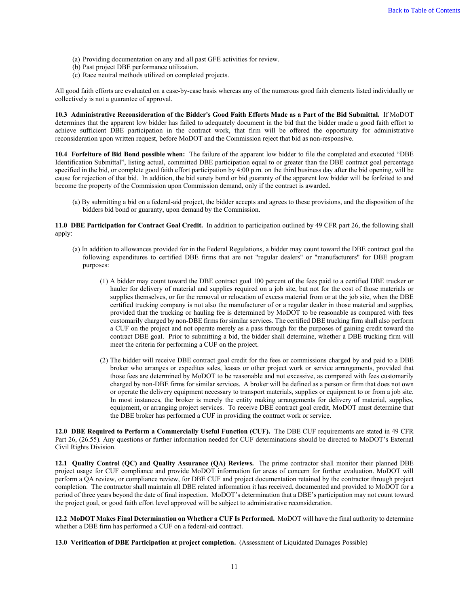- (a) Providing documentation on any and all past GFE activities for review.
- (b) Past project DBE performance utilization.
- (c) Race neutral methods utilized on completed projects.

All good faith efforts are evaluated on a case-by-case basis whereas any of the numerous good faith elements listed individually or collectively is not a guarantee of approval.

**10.3 Administrative Reconsideration of the Bidder's Good Faith Efforts Made as a Part of the Bid Submittal.** If MoDOT determines that the apparent low bidder has failed to adequately document in the bid that the bidder made a good faith effort to achieve sufficient DBE participation in the contract work, that firm will be offered the opportunity for administrative reconsideration upon written request, before MoDOT and the Commission reject that bid as non-responsive.

**10.4 Forfeiture of Bid Bond possible when:** The failure of the apparent low bidder to file the completed and executed "DBE Identification Submittal", listing actual, committed DBE participation equal to or greater than the DBE contract goal percentage specified in the bid, or complete good faith effort participation by 4:00 p.m. on the third business day after the bid opening, will be cause for rejection of that bid. In addition, the bid surety bond or bid guaranty of the apparent low bidder will be forfeited to and become the property of the Commission upon Commission demand, only if the contract is awarded.

(a) By submitting a bid on a federal-aid project, the bidder accepts and agrees to these provisions, and the disposition of the bidders bid bond or guaranty, upon demand by the Commission.

**11.0 DBE Participation for Contract Goal Credit.** In addition to participation outlined by 49 CFR part 26, the following shall apply:

- (a) In addition to allowances provided for in the Federal Regulations, a bidder may count toward the DBE contract goal the following expenditures to certified DBE firms that are not "regular dealers" or "manufacturers" for DBE program purposes:
	- (1) A bidder may count toward the DBE contract goal 100 percent of the fees paid to a certified DBE trucker or hauler for delivery of material and supplies required on a job site, but not for the cost of those materials or supplies themselves, or for the removal or relocation of excess material from or at the job site, when the DBE certified trucking company is not also the manufacturer of or a regular dealer in those material and supplies, provided that the trucking or hauling fee is determined by MoDOT to be reasonable as compared with fees customarily charged by non-DBE firms for similar services. The certified DBE trucking firm shall also perform a CUF on the project and not operate merely as a pass through for the purposes of gaining credit toward the contract DBE goal. Prior to submitting a bid, the bidder shall determine, whether a DBE trucking firm will meet the criteria for performing a CUF on the project.
	- (2) The bidder will receive DBE contract goal credit for the fees or commissions charged by and paid to a DBE broker who arranges or expedites sales, leases or other project work or service arrangements, provided that those fees are determined by MoDOT to be reasonable and not excessive, as compared with fees customarily charged by non-DBE firms for similar services. A broker will be defined as a person or firm that does not own or operate the delivery equipment necessary to transport materials, supplies or equipment to or from a job site. In most instances, the broker is merely the entity making arrangements for delivery of material, supplies, equipment, or arranging project services. To receive DBE contract goal credit, MoDOT must determine that the DBE broker has performed a CUF in providing the contract work or service.

**12.0 DBE Required to Perform a Commercially Useful Function (CUF).** The DBE CUF requirements are stated in 49 CFR Part 26, (26.55). Any questions or further information needed for CUF determinations should be directed to MoDOT's External Civil Rights Division.

**12.1 Quality Control (QC) and Quality Assurance (QA) Reviews.** The prime contractor shall monitor their planned DBE project usage for CUF compliance and provide MoDOT information for areas of concern for further evaluation. MoDOT will perform a QA review, or compliance review, for DBE CUF and project documentation retained by the contractor through project completion. The contractor shall maintain all DBE related information it has received, documented and provided to MoDOT for a period of three years beyond the date of final inspection. MoDOT's determination that a DBE's participation may not count toward the project goal, or good faith effort level approved will be subject to administrative reconsideration.

**12.2 MoDOT Makes Final Determination on Whether a CUF Is Performed.** MoDOT will have the final authority to determine whether a DBE firm has performed a CUF on a federal-aid contract.

**13.0 Verification of DBE Participation at project completion.** (Assessment of Liquidated Damages Possible)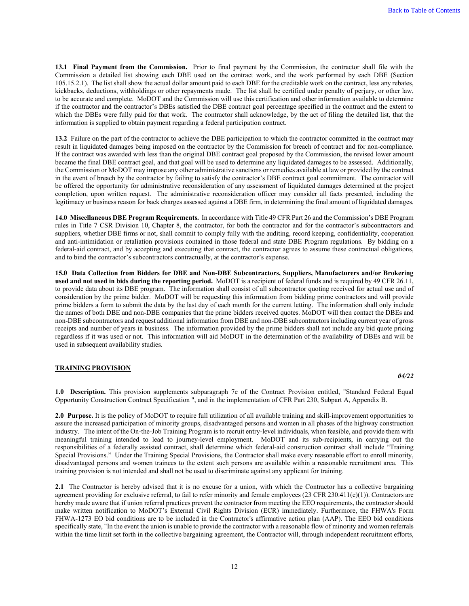**13.1 Final Payment from the Commission.** Prior to final payment by the Commission, the contractor shall file with the Commission a detailed list showing each DBE used on the contract work, and the work performed by each DBE (Section 105.15.2.1). The list shall show the actual dollar amount paid to each DBE for the creditable work on the contract, less any rebates, kickbacks, deductions, withholdings or other repayments made. The list shall be certified under penalty of perjury, or other law, to be accurate and complete. MoDOT and the Commission will use this certification and other information available to determine if the contractor and the contractor's DBEs satisfied the DBE contract goal percentage specified in the contract and the extent to which the DBEs were fully paid for that work. The contractor shall acknowledge, by the act of filing the detailed list, that the information is supplied to obtain payment regarding a federal participation contract.

**13.2** Failure on the part of the contractor to achieve the DBE participation to which the contractor committed in the contract may result in liquidated damages being imposed on the contractor by the Commission for breach of contract and for non-compliance. If the contract was awarded with less than the original DBE contract goal proposed by the Commission, the revised lower amount became the final DBE contract goal, and that goal will be used to determine any liquidated damages to be assessed. Additionally, the Commission or MoDOT may impose any other administrative sanctions or remedies available at law or provided by the contract in the event of breach by the contractor by failing to satisfy the contractor's DBE contract goal commitment. The contractor will be offered the opportunity for administrative reconsideration of any assessment of liquidated damages determined at the project completion, upon written request. The administrative reconsideration officer may consider all facts presented, including the legitimacy or business reason for back charges assessed against a DBE firm, in determining the final amount of liquidated damages.

**14.0 Miscellaneous DBE Program Requirements.** In accordance with Title 49 CFR Part 26 and the Commission's DBE Program rules in Title 7 CSR Division 10, Chapter 8, the contractor, for both the contractor and for the contractor's subcontractors and suppliers, whether DBE firms or not, shall commit to comply fully with the auditing, record keeping, confidentiality, cooperation and anti-intimidation or retaliation provisions contained in those federal and state DBE Program regulations. By bidding on a federal-aid contract, and by accepting and executing that contract, the contractor agrees to assume these contractual obligations, and to bind the contractor's subcontractors contractually, at the contractor's expense.

**15.0 Data Collection from Bidders for DBE and Non-DBE Subcontractors, Suppliers, Manufacturers and/or Brokering used and not used in bids during the reporting period.** MoDOT is a recipient of federal funds and is required by 49 CFR 26.11, to provide data about its DBE program. The information shall consist of all subcontractor quoting received for actual use and of consideration by the prime bidder. MoDOT will be requesting this information from bidding prime contractors and will provide prime bidders a form to submit the data by the last day of each month for the current letting. The information shall only include the names of both DBE and non-DBE companies that the prime bidders received quotes. MoDOT will then contact the DBEs and non-DBE subcontractors and request additional information from DBE and non-DBE subcontractors including current year of gross receipts and number of years in business. The information provided by the prime bidders shall not include any bid quote pricing regardless if it was used or not. This information will aid MoDOT in the determination of the availability of DBEs and will be used in subsequent availability studies.

#### <span id="page-12-0"></span>**TRAINING PROVISION**

*04/22*

**1.0 Description.** This provision supplements subparagraph 7e of the Contract Provision entitled, "Standard Federal Equal Opportunity Construction Contract Specification ", and in the implementation of CFR Part 230, Subpart A, Appendix B.

**2.0 Purpose.** It is the policy of MoDOT to require full utilization of all available training and skill-improvement opportunities to assure the increased participation of minority groups, disadvantaged persons and women in all phases of the highway construction industry. The intent of the On-the-Job Training Program is to recruit entry-level individuals, when feasible, and provide them with meaningful training intended to lead to journey-level employment. MoDOT and its sub-recipients, in carrying out the responsibilities of a federally assisted contract, shall determine which federal-aid construction contract shall include "Training Special Provisions." Under the Training Special Provisions, the Contractor shall make every reasonable effort to enroll minority, disadvantaged persons and women trainees to the extent such persons are available within a reasonable recruitment area. This training provision is not intended and shall not be used to discriminate against any applicant for training.

**2.1** The Contractor is hereby advised that it is no excuse for a union, with which the Contractor has a collective bargaining agreement providing for exclusive referral, to fail to refer minority and female employees (23 CFR 230.411(e)(1)). Contractors are hereby made aware that if union referral practices prevent the contractor from meeting the EEO requirements, the contractor should make written notification to MoDOT's External Civil Rights Division (ECR) immediately. Furthermore, the FHWA's Form FHWA-1273 EO bid conditions are to be included in the Contractor's affirmative action plan (AAP). The EEO bid conditions specifically state, "In the event the union is unable to provide the contractor with a reasonable flow of minority and women referrals within the time limit set forth in the collective bargaining agreement, the Contractor will, through independent recruitment efforts,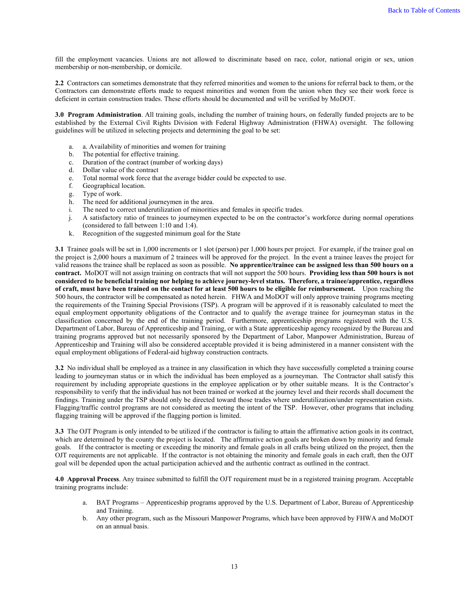fill the employment vacancies. Unions are not allowed to discriminate based on race, color, national origin or sex, union membership or non-membership, or domicile.

**2.2** Contractors can sometimes demonstrate that they referred minorities and women to the unions for referral back to them, or the Contractors can demonstrate efforts made to request minorities and women from the union when they see their work force is deficient in certain construction trades. These efforts should be documented and will be verified by MoDOT.

**3.0 Program Administration**. All training goals, including the number of training hours, on federally funded projects are to be established by the External Civil Rights Division with Federal Highway Administration (FHWA) oversight. The following guidelines will be utilized in selecting projects and determining the goal to be set:

- a. a. Availability of minorities and women for training
- b. The potential for effective training.
- c. Duration of the contract (number of working days)
- d. Dollar value of the contract
- e. Total normal work force that the average bidder could be expected to use.
- f. Geographical location.
- g. Type of work.
- h. The need for additional journeymen in the area.
- i. The need to correct underutilization of minorities and females in specific trades.
- j. A satisfactory ratio of trainees to journeymen expected to be on the contractor's workforce during normal operations (considered to fall between 1:10 and 1:4).
- k. Recognition of the suggested minimum goal for the State

**3.1** Trainee goals will be set in 1,000 increments or 1 slot (person) per 1,000 hours per project. For example, if the trainee goal on the project is 2,000 hours a maximum of 2 trainees will be approved for the project. In the event a trainee leaves the project for valid reasons the trainee shall be replaced as soon as possible. **No apprentice/trainee can be assigned less than 500 hours on a contract.** MoDOT will not assign training on contracts that will not support the 500 hours. **Providing less than 500 hours is not considered to be beneficial training nor helping to achieve journey-level status. Therefore, a trainee/apprentice, regardless of craft, must have been trained on the contact for at least 500 hours to be eligible for reimbursement.** Upon reaching the 500 hours, the contractor will be compensated as noted herein. FHWA and MoDOT will only approve training programs meeting the requirements of the Training Special Provisions (TSP). A program will be approved if it is reasonably calculated to meet the equal employment opportunity obligations of the Contractor and to qualify the average trainee for journeyman status in the classification concerned by the end of the training period. Furthermore, apprenticeship programs registered with the U.S. Department of Labor, Bureau of Apprenticeship and Training, or with a State apprenticeship agency recognized by the Bureau and training programs approved but not necessarily sponsored by the Department of Labor, Manpower Administration, Bureau of Apprenticeship and Training will also be considered acceptable provided it is being administered in a manner consistent with the equal employment obligations of Federal-aid highway construction contracts.

**3.2** No individual shall be employed as a trainee in any classification in which they have successfully completed a training course leading to journeyman status or in which the individual has been employed as a journeyman. The Contractor shall satisfy this requirement by including appropriate questions in the employee application or by other suitable means. It is the Contractor's responsibility to verify that the individual has not been trained or worked at the journey level and their records shall document the findings. Training under the TSP should only be directed toward those trades where underutilization/under representation exists. Flagging/traffic control programs are not considered as meeting the intent of the TSP. However, other programs that including flagging training will be approved if the flagging portion is limited.

**3.3** The OJT Program is only intended to be utilized if the contractor is failing to attain the affirmative action goals in its contract, which are determined by the county the project is located. The affirmative action goals are broken down by minority and female goals. If the contractor is meeting or exceeding the minority and female goals in all crafts being utilized on the project, then the OJT requirements are not applicable. If the contractor is not obtaining the minority and female goals in each craft, then the OJT goal will be depended upon the actual participation achieved and the authentic contract as outlined in the contract.

**4.0 Approval Process**. Any trainee submitted to fulfill the OJT requirement must be in a registered training program. Acceptable training programs include:

- a. BAT Programs Apprenticeship programs approved by the U.S. Department of Labor, Bureau of Apprenticeship and Training.
- b. Any other program, such as the Missouri Manpower Programs, which have been approved by FHWA and MoDOT on an annual basis.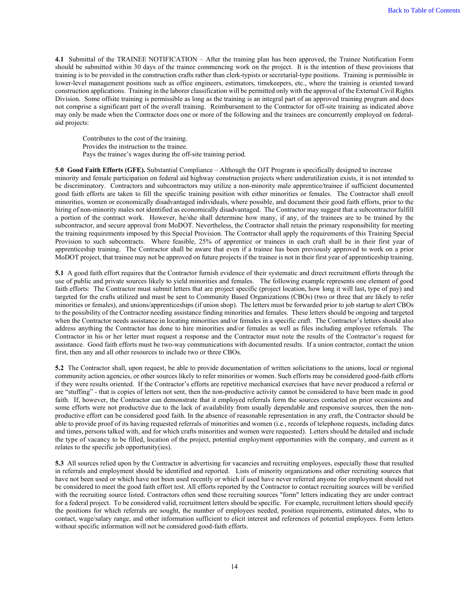**4.1** Submittal of the TRAINEE NOTIFICATION – After the training plan has been approved, the Trainee Notification Form should be submitted within 30 days of the trainee commencing work on the project. It is the intention of these provisions that training is to be provided in the construction crafts rather than clerk-typists or secretarial-type positions. Training is permissible in lower-level management positions such as office engineers, estimators, timekeepers, etc., where the training is oriented toward construction applications. Training in the laborer classification will be permitted only with the approval of the External Civil Rights Division. Some offsite training is permissible as long as the training is an integral part of an approved training program and does not comprise a significant part of the overall training. Reimbursement to the Contractor for off-site training as indicated above may only be made when the Contractor does one or more of the following and the trainees are concurrently employed on federalaid projects:

Contributes to the cost of the training. Provides the instruction to the trainee. Pays the trainee's wages during the off-site training period.

**5.0 Good Faith Efforts (GFE).** Substantial Compliance – Although the OJT Program is specifically designed to increase minority and female participation on federal aid highway construction projects where underutilization exists, it is not intended to be discriminatory. Contractors and subcontractors may utilize a non-minority male apprentice/trainee if sufficient documented good faith efforts are taken to fill the specific training position with either minorities or females. The Contractor shall enroll minorities, women or economically disadvantaged individuals, where possible, and document their good faith efforts, prior to the hiring of non-minority males not identified as economically disadvantaged. The Contractor may suggest that a subcontractor fulfill a portion of the contract work. However, he/she shall determine how many, if any, of the trainees are to be trained by the subcontractor, and secure approval from MoDOT. Nevertheless, the Contractor shall retain the primary responsibility for meeting the training requirements imposed by this Special Provision. The Contractor shall apply the requirements of this Training Special Provision to such subcontracts. Where feasible, 25% of apprentice or trainees in each craft shall be in their first year of apprenticeship training. The Contractor shall be aware that even if a trainee has been previously approved to work on a prior MoDOT project, that trainee may not be approved on future projects if the trainee is not in their first year of apprenticeship training.

**5.1** A good faith effort requires that the Contractor furnish evidence of their systematic and direct recruitment efforts through the use of public and private sources likely to yield minorities and females. The following example represents one element of good faith efforts: The Contractor must submit letters that are project specific (project location, how long it will last, type of pay) and targeted for the crafts utilized and must be sent to Community Based Organizations (CBOs) (two or three that are likely to refer minorities or females), and unions/apprenticeships (if union shop). The letters must be forwarded prior to job startup to alert CBOs to the possibility of the Contractor needing assistance finding minorities and females. These letters should be ongoing and targeted when the Contractor needs assistance in locating minorities and/or females in a specific craft. The Contractor's letters should also address anything the Contractor has done to hire minorities and/or females as well as files including employee referrals. The Contractor in his or her letter must request a response and the Contractor must note the results of the Contractor's request for assistance. Good faith efforts must be two-way communications with documented results. If a union contractor, contact the union first, then any and all other resources to include two or three CBOs.

**5.2** The Contractor shall, upon request, be able to provide documentation of written solicitations to the unions, local or regional community action agencies, or other sources likely to refer minorities or women. Such efforts may be considered good-faith efforts if they were results oriented. If the Contractor's efforts are repetitive mechanical exercises that have never produced a referral or are "stuffing" - that is copies of letters not sent, then the non-productive activity cannot be considered to have been made in good faith. If, however, the Contractor can demonstrate that it employed referrals form the sources contacted on prior occasions and some efforts were not productive due to the lack of availability from usually dependable and responsive sources, then the nonproductive effort can be considered good faith. In the absence of reasonable representation in any craft, the Contractor should be able to provide proof of its having requested referrals of minorities and women (i.e., records of telephone requests, including dates and times, persons talked with, and for which crafts minorities and women were requested). Letters should be detailed and include the type of vacancy to be filled, location of the project, potential employment opportunities with the company, and current as it relates to the specific job opportunity(ies).

**5.3** All sources relied upon by the Contractor in advertising for vacancies and recruiting employees, especially those that resulted in referrals and employment should be identified and reported. Lists of minority organizations and other recruiting sources that have not been used or which have not been used recently or which if used have never referred anyone for employment should not be considered to meet the good faith effort test. All efforts reported by the Contractor to contact recruiting sources will be verified with the recruiting source listed. Contractors often send these recruiting sources "form" letters indicating they are under contract for a federal project. To be considered valid, recruitment letters should be specific. For example, recruitment letters should specify the positions for which referrals are sought, the number of employees needed, position requirements, estimated dates, who to contact, wage/salary range, and other information sufficient to elicit interest and references of potential employees. Form letters without specific information will not be considered good-faith efforts.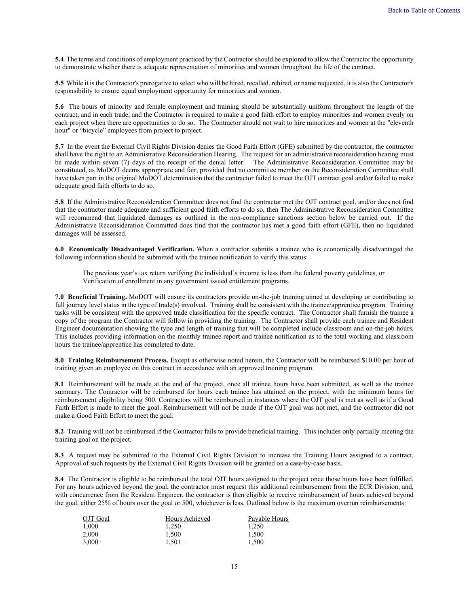**5.4** The terms and conditions of employment practiced by the Contractor should be explored to allow the Contractor the opportunity to demonstrate whether there is adequate representation of minorities and women throughout the life of the contract.

**5.5** While it is the Contractor's prerogative to select who will be hired, recalled, rehired, or name requested, it is also the Contractor's responsibility to ensure equal employment opportunity for minorities and women.

**5.6** The hours of minority and female employment and training should be substantially uniform throughout the length of the contract, and in each trade, and the Contractor is required to make a good faith effort to employ minorities and women evenly on each project when there are opportunities to do so. The Contractor should not wait to hire minorities and women at the "eleventh hour" or "bicycle" employees from project to project.

**5.7** In the event the External Civil Rights Division denies the Good Faith Effort (GFE) submitted by the contractor, the contractor shall have the right to an Administrative Reconsideration Hearing. The request for an administrative reconsideration hearing must be made within seven (7) days of the receipt of the denial letter. The Administrative Reconsideration Committee may be constituted, as MoDOT deems appropriate and fair, provided that no committee member on the Reconsideration Committee shall have taken part in the original MoDOT determination that the contractor failed to meet the OJT contract goal and/or failed to make adequate good faith efforts to do so.

**5.8** If the Administrative Reconsideration Committee does not find the contractor met the OJT contract goal, and/or does not find that the contractor made adequate and sufficient good faith efforts to do so, then The Administrative Reconsideration Committee will recommend that liquidated damages as outlined in the non-compliance sanctions section below be carried out. If the Administrative Reconsideration Committed does find that the contractor has met a good faith effort (GFE), then no liquidated damages will be assessed.

**6.0 Economically Disadvantaged Verification.** When a contractor submits a trainee who is economically disadvantaged the following information should be submitted with the trainee notification to verify this status:

The previous year's tax return verifying the individual's income is less than the federal poverty guidelines, or Verification of enrollment in any government issued entitlement programs.

**7.0 Beneficial Training.** MoDOT will ensure its contractors provide on-the-job training aimed at developing or contributing to full journey level status in the type of trade(s) involved. Training shall be consistent with the trainee/apprentice program. Training tasks will be consistent with the approved trade classification for the specific contract. The Contractor shall furnish the trainee a copy of the program the Contractor will follow in providing the training. The Contractor shall provide each trainee and Resident Engineer documentation showing the type and length of training that will be completed include classroom and on-the-job hours. This includes providing information on the monthly trainee report and trainee notification as to the total working and classroom hours the trainee/apprentice has completed to date.

**8.0 Training Reimbursement Process.** Except as otherwise noted herein, the Contractor will be reimbursed \$10.00 per hour of training given an employee on this contract in accordance with an approved training program.

**8.1** Reimbursement will be made at the end of the project, once all trainee hours have been submitted, as well as the trainee summary. The Contractor will be reimbursed for hours each trainee has attained on the project, with the minimum hours for reimbursement eligibility being 500. Contractors will be reimbursed in instances where the OJT goal is met as well as if a Good Faith Effort is made to meet the goal. Reimbursement will not be made if the OJT goal was not met, and the contractor did not make a Good Faith Effort to meet the goal.

**8.2** Training will not be reimbursed if the Contractor fails to provide beneficial training. This includes only partially meeting the training goal on the project.

**8.3** A request may be submitted to the External Civil Rights Division to increase the Training Hours assigned to a contract. Approval of such requests by the External Civil Rights Division will be granted on a case-by-case basis.

**8.4** The Contractor is eligible to be reimbursed the total OJT hours assigned to the project once those hours have been fulfilled. For any hours achieved beyond the goal, the contractor must request this additional reimbursement from the ECR Division, and, with concurrence from the Resident Engineer, the contractor is then eligible to receive reimbursement of hours achieved beyond the goal, either 25% of hours over the goal or 500, whichever is less. Outlined below is the maximum overrun reimbursements:

| OJT Goal | Hours Achieved | Payable Hours |
|----------|----------------|---------------|
| 1.000    | 1.250          | 1.250         |
| 2.000    | 1.500          | 1.500         |
| $3,000+$ | $1.501+$       | 1.500         |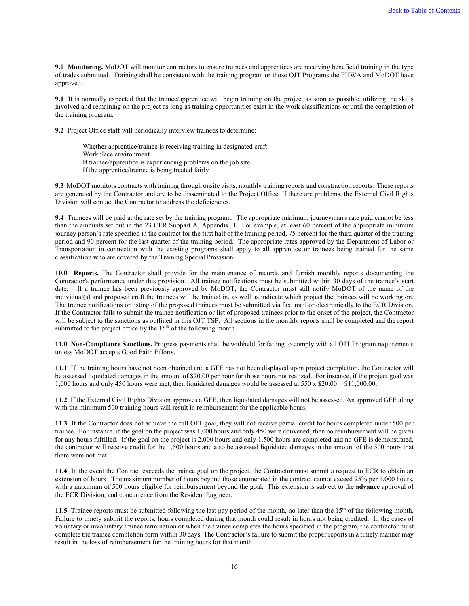**9.0 Monitoring.** MoDOT will monitor contractors to ensure trainees and apprentices are receiving beneficial training in the type of trades submitted. Training shall be consistent with the training program or those OJT Programs the FHWA and MoDOT have approved.

**9.1** It is normally expected that the trainee/apprentice will begin training on the project as soon as possible, utilizing the skills involved and remaining on the project as long as training opportunities exist in the work classifications or until the completion of the training program.

**9.2** Project Office staff will periodically interview trainees to determine:

Whether apprentice/trainee is receiving training in designated craft Workplace environment If trainee/apprentice is experiencing problems on the job site If the apprentice/trainee is being treated fairly

**9.3** MoDOT monitors contracts with training through onsite visits, monthly training reports and construction reports. These reports are generated by the Contractor and are to be disseminated to the Project Office. If there are problems, the External Civil Rights Division will contact the Contractor to address the deficiencies.

**9.4** Trainees will be paid at the rate set by the training program. The appropriate minimum journeyman's rate paid cannot be less than the amounts set out in the 23 CFR Subpart A, Appendix B. For example, at least 60 percent of the appropriate minimum journey person's rate specified in the contract for the first half of the training period, 75 percent for the third quarter of the training period and 90 percent for the last quarter of the training period. The appropriate rates approved by the Department of Labor or Transportation in connection with the existing programs shall apply to all apprentice or trainees being trained for the same classification who are covered by the Training Special Provision.

**10.0 Reports.** The Contractor shall provide for the maintenance of records and furnish monthly reports documenting the Contractor's performance under this provision. All trainee notifications must be submitted within 30 days of the trainee's start date. If a trainee has been previously approved by MoDOT, the Contractor must still notify MoDOT of the name of the individual(s) and proposed craft the trainees will be trained in, as well as indicate which project the trainees will be working on. The trainee notifications or listing of the proposed trainees must be submitted via fax, mail or electronically to the ECR Division. If the Contractor fails to submit the trainee notification or list of proposed trainees prior to the onset of the project, the Contractor will be subject to the sanctions as outlined in this OJT TSP. All sections in the monthly reports shall be completed and the report submitted to the project office by the 15<sup>th</sup> of the following month.

**11.0 Non-Compliance Sanctions.** Progress payments shall be withheld for failing to comply with all OJT Program requirements unless MoDOT accepts Good Faith Efforts.

**11.1** If the training hours have not been obtained and a GFE has not been displayed upon project completion, the Contractor will be assessed liquidated damages in the amount of \$20.00 per hour for those hours not realized. For instance, if the project goal was 1,000 hours and only 450 hours were met, then liquidated damages would be assessed at 550 x \$20.00 = \$11,000.00.

**11.2** If the External Civil Rights Division approves a GFE, then liquidated damages will not be assessed. An approved GFE along with the minimum 500 training hours will result in reimbursement for the applicable hours.

**11.3** If the Contractor does not achieve the full OJT goal, they will not receive partial credit for hours completed under 500 per trainee. For instance, if the goal on the project was 1,000 hours and only 450 were convened, then no reimbursement will be given for any hours fulfilled. If the goal on the project is 2,000 hours and only 1,500 hours are completed and no GFE is demonstrated, the contractor will receive credit for the 1,500 hours and also be assessed liquidated damages in the amount of the 500 hours that there were not met.

**11.4** In the event the Contract exceeds the trainee goal on the project, the Contractor must submit a request to ECR to obtain an extension of hours. The maximum number of hours beyond those enumerated in the contract cannot exceed 25% per 1,000 hours, with a maximum of 500 hours eligible for reimbursement beyond the goal. This extension is subject to the **advance** approval of the ECR Division, and concurrence from the Resident Engineer.

**11.5** Trainee reports must be submitted following the last pay period of the month, no later than the 15<sup>th</sup> of the following month. Failure to timely submit the reports, hours completed during that month could result in hours not being credited. In the cases of voluntary or involuntary trainee termination or when the trainee completes the hours specified in the program, the contractor must complete the trainee completion form within 30 days. The Contractor's failure to submit the proper reports in a timely manner may result in the loss of reimbursement for the training hours for that month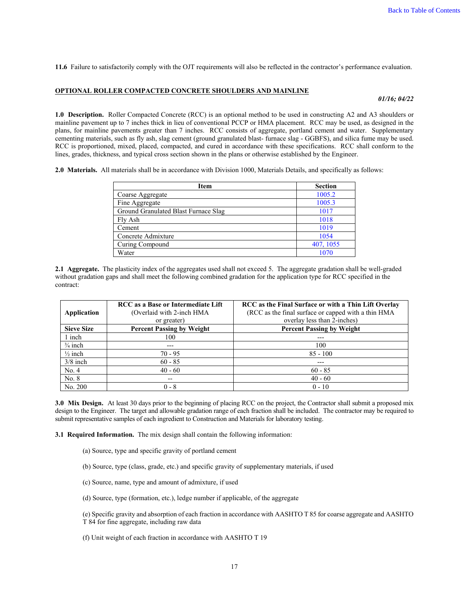**11.6** Failure to satisfactorily comply with the OJT requirements will also be reflected in the contractor's performance evaluation.

#### <span id="page-17-0"></span>**OPTIONAL ROLLER COMPACTED CONCRETE SHOULDERS AND MAINLINE**

*01/16; 04/22*

**1.0 Description.** Roller Compacted Concrete (RCC) is an optional method to be used in constructing A2 and A3 shoulders or mainline pavement up to 7 inches thick in lieu of conventional PCCP or HMA placement. RCC may be used, as designed in the plans, for mainline pavements greater than 7 inches. RCC consists of aggregate, portland cement and water. Supplementary cementing materials, such as fly ash, slag cement (ground granulated blast- furnace slag - GGBFS), and silica fume may be used. RCC is proportioned, mixed, placed, compacted, and cured in accordance with these specifications. RCC shall conform to the lines, grades, thickness, and typical cross section shown in the plans or otherwise established by the Engineer.

**2.0 Materials.** All materials shall be in accordance with Division 1000, Materials Details, and specifically as follows:

| <b>Item</b>                          | <b>Section</b> |
|--------------------------------------|----------------|
| Coarse Aggregate                     | 1005.2         |
| Fine Aggregate                       | 1005.3         |
| Ground Granulated Blast Furnace Slag | 1017           |
| Fly Ash                              | 1018           |
| Cement                               | 1019           |
| Concrete Admixture                   | 1054           |
| Curing Compound                      | 407, 1055      |
| Water                                | 1070           |

**2.1 Aggregate.** The plasticity index of the aggregates used shall not exceed 5. The aggregate gradation shall be well-graded without gradation gaps and shall meet the following combined gradation for the application type for RCC specified in the contract:

| Application        | <b>RCC</b> as a Base or Intermediate Lift<br>(Overlaid with 2-inch HMA<br>or greater) | RCC as the Final Surface or with a Thin Lift Overlay<br>(RCC as the final surface or capped with a thin HMA<br>overlay less than 2-inches) |
|--------------------|---------------------------------------------------------------------------------------|--------------------------------------------------------------------------------------------------------------------------------------------|
| <b>Sieve Size</b>  | <b>Percent Passing by Weight</b>                                                      | <b>Percent Passing by Weight</b>                                                                                                           |
| 1 inch             | 100                                                                                   |                                                                                                                                            |
| $\frac{3}{4}$ inch | ---                                                                                   | 100                                                                                                                                        |
| $\frac{1}{2}$ inch | $70 - 95$                                                                             | $85 - 100$                                                                                                                                 |
| $3/8$ inch         | $60 - 85$                                                                             | ---                                                                                                                                        |
| No. 4              | $40 - 60$                                                                             | $60 - 85$                                                                                                                                  |
| No. 8              | --                                                                                    | $40 - 60$                                                                                                                                  |
| No. 200            | $0 - 8$                                                                               | $0 - 10$                                                                                                                                   |

**3.0 Mix Design.** At least 30 days prior to the beginning of placing RCC on the project, the Contractor shall submit a proposed mix design to the Engineer. The target and allowable gradation range of each fraction shall be included. The contractor may be required to submit representative samples of each ingredient to Construction and Materials for laboratory testing.

**3.1 Required Information.** The mix design shall contain the following information:

- (a) Source, type and specific gravity of portland cement
- (b) Source, type (class, grade, etc.) and specific gravity of supplementary materials, if used
- (c) Source, name, type and amount of admixture, if used
- (d) Source, type (formation, etc.), ledge number if applicable, of the aggregate

(e) Specific gravity and absorption of each fraction in accordance with AASHTO T 85 for coarse aggregate and AASHTO T 84 for fine aggregate, including raw data

(f) Unit weight of each fraction in accordance with AASHTO T 19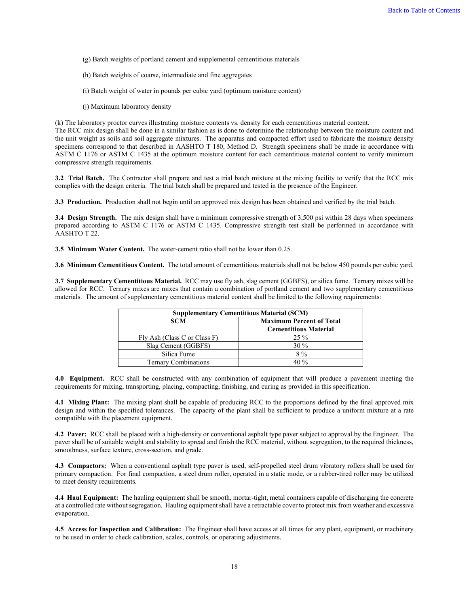- (g) Batch weights of portland cement and supplemental cementitious materials
- (h) Batch weights of coarse, intermediate and fine aggregates
- (i) Batch weight of water in pounds per cubic yard (optimum moisture content)
- (j) Maximum laboratory density

(k) The laboratory proctor curves illustrating moisture contents vs. density for each cementitious material content.

The RCC mix design shall be done in a similar fashion as is done to determine the relationship between the moisture content and the unit weight as soils and soil aggregate mixtures. The apparatus and compacted effort used to fabricate the moisture density specimens correspond to that described in AASHTO T 180, Method D. Strength specimens shall be made in accordance with ASTM C 1176 or ASTM C 1435 at the optimum moisture content for each cementitious material content to verify minimum compressive strength requirements.

**3.2 Trial Batch.** The Contractor shall prepare and test a trial batch mixture at the mixing facility to verify that the RCC mix complies with the design criteria. The trial batch shall be prepared and tested in the presence of the Engineer.

**3.3 Production.** Production shall not begin until an approved mix design has been obtained and verified by the trial batch.

**3.4 Design Strength.** The mix design shall have a minimum compressive strength of 3,500 psi within 28 days when specimens prepared according to ASTM C 1176 or ASTM C 1435. Compressive strength test shall be performed in accordance with AASHTO T 22.

**3.5 Minimum Water Content.** The water-cement ratio shall not be lower than 0.25.

**3.6 Minimum Cementitious Content.** The total amount of cementitious materials shall not be below 450 pounds per cubic yard.

**3.7 Supplementary Cementitious Material.** RCC may use fly ash, slag cement (GGBFS), or silica fume. Ternary mixes will be allowed for RCC. Ternary mixes are mixes that contain a combination of portland cement and two supplementary cementitious materials. The amount of supplementary cementitious material content shall be limited to the following requirements:

| <b>Supplementary Cementitious Material (SCM)</b> |                                                                 |  |
|--------------------------------------------------|-----------------------------------------------------------------|--|
| <b>SCM</b>                                       | <b>Maximum Percent of Total</b><br><b>Cementitious Material</b> |  |
| Fly Ash (Class C or Class F)                     | $25\%$                                                          |  |
| Slag Cement (GGBFS)                              | $30\%$                                                          |  |
| Silica Fume                                      | $8\%$                                                           |  |
| <b>Ternary Combinations</b>                      | 40 %                                                            |  |

**4.0 Equipment.** RCC shall be constructed with any combination of equipment that will produce a pavement meeting the requirements for mixing, transporting, placing, compacting, finishing, and curing as provided in this specification.

**4.1 Mixing Plant:** The mixing plant shall be capable of producing RCC to the proportions defined by the final approved mix design and within the specified tolerances. The capacity of the plant shall be sufficient to produce a uniform mixture at a rate compatible with the placement equipment.

**4.2 Paver:** RCC shall be placed with a high-density or conventional asphalt type paver subject to approval by the Engineer. The paver shall be of suitable weight and stability to spread and finish the RCC material, without segregation, to the required thickness, smoothness, surface texture, cross-section, and grade.

**4.3 Compactors:** When a conventional asphalt type paver is used, self-propelled steel drum vibratory rollers shall be used for primary compaction. For final compaction, a steel drum roller, operated in a static mode, or a rubber-tired roller may be utilized to meet density requirements.

**4.4 Haul Equipment:** The hauling equipment shall be smooth, mortar-tight, metal containers capable of discharging the concrete at a controlled rate without segregation. Hauling equipment shall have a retractable cover to protect mix from weather and excessive evaporation.

**4.5 Access for Inspection and Calibration:** The Engineer shall have access at all times for any plant, equipment, or machinery to be used in order to check calibration, scales, controls, or operating adjustments.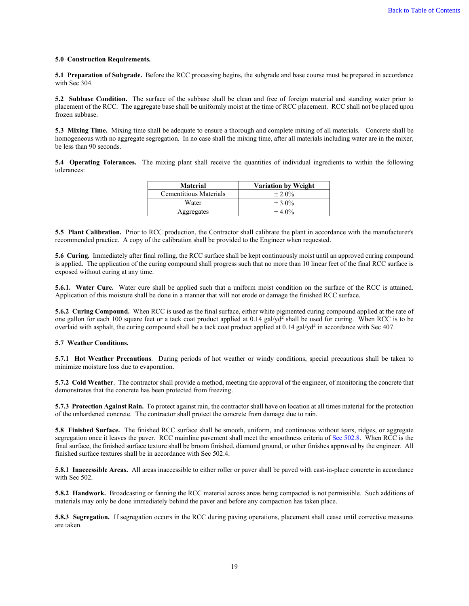#### **5.0 Construction Requirements.**

**5.1 Preparation of Subgrade.** Before the RCC processing begins, the subgrade and base course must be prepared in accordance with Sec 304.

**5.2 Subbase Condition.** The surface of the subbase shall be clean and free of foreign material and standing water prior to placement of the RCC. The aggregate base shall be uniformly moist at the time of RCC placement. RCC shall not be placed upon frozen subbase.

**5.3 Mixing Time.** Mixing time shall be adequate to ensure a thorough and complete mixing of all materials. Concrete shall be homogeneous with no aggregate segregation. In no case shall the mixing time, after all materials including water are in the mixer, be less than 90 seconds.

**5.4 Operating Tolerances.** The mixing plant shall receive the quantities of individual ingredients to within the following tolerances:

| <b>Material</b>        | <b>Variation by Weight</b> |
|------------------------|----------------------------|
| Cementitious Materials | $\pm 2.0\%$                |
| Water                  | $\pm 3.0\%$                |
| Aggregates             | $\pm 4.0\%$                |

**5.5 Plant Calibration.** Prior to RCC production, the Contractor shall calibrate the plant in accordance with the manufacturer's recommended practice. A copy of the calibration shall be provided to the Engineer when requested.

**5.6 Curing.** Immediately after final rolling, the RCC surface shall be kept continuously moist until an approved curing compound is applied. The application of the curing compound shall progress such that no more than 10 linear feet of the final RCC surface is exposed without curing at any time.

**5.6.1. Water Cure.**Water cure shall be applied such that a uniform moist condition on the surface of the RCC is attained. Application of this moisture shall be done in a manner that will not erode or damage the finished RCC surface.

**5.6.2 Curing Compound.** When RCC is used as the final surface, either white pigmented curing compound applied at the rate of one gallon for each 100 square feet or a tack coat product applied at  $0.14$  gal/yd<sup>2</sup> shall be used for curing. When RCC is to be overlaid with asphalt, the curing compound shall be a tack coat product applied at  $0.14$  gal/yd<sup>2</sup> in accordance with Sec 407.

#### **5.7 Weather Conditions.**

**5.7.1 Hot Weather Precautions**. During periods of hot weather or windy conditions, special precautions shall be taken to minimize moisture loss due to evaporation.

**5.7.2 Cold Weather**. The contractor shall provide a method, meeting the approval of the engineer, of monitoring the concrete that demonstrates that the concrete has been protected from freezing.

**5.7.3 Protection Against Rain.** To protect against rain, the contractor shall have on location at all times material for the protection of the unhardened concrete. The contractor shall protect the concrete from damage due to rain.

**5.8 Finished Surface.** The finished RCC surface shall be smooth, uniform, and continuous without tears, ridges, or aggregate segregation once it leaves the paver. RCC mainline pavement shall meet the smoothness criteria of Sec 502.8. When RCC is the final surface, the finished surface texture shall be broom finished, diamond ground, or other finishes approved by the engineer. All finished surface textures shall be in accordance with Sec 502.4.

**5.8.1 Inaccessible Areas.**All areas inaccessible to either roller or paver shall be paved with cast-in-place concrete in accordance with Sec 502.

**5.8.2 Handwork.** Broadcasting or fanning the RCC material across areas being compacted is not permissible. Such additions of materials may only be done immediately behind the paver and before any compaction has taken place.

**5.8.3 Segregation.** If segregation occurs in the RCC during paving operations, placement shall cease until corrective measures are taken.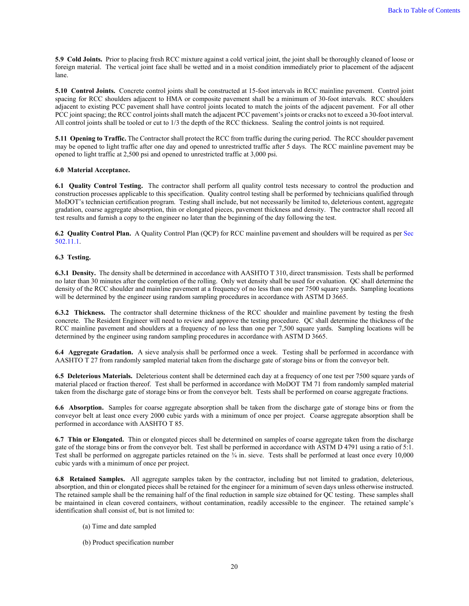**5.9 Cold Joints.** Prior to placing fresh RCC mixture against a cold vertical joint, the joint shall be thoroughly cleaned of loose or foreign material. The vertical joint face shall be wetted and in a moist condition immediately prior to placement of the adjacent lane.

**5.10 Control Joints.** Concrete control joints shall be constructed at 15-foot intervals in RCC mainline pavement. Control joint spacing for RCC shoulders adjacent to HMA or composite pavement shall be a minimum of 30-foot intervals. RCC shoulders adjacent to existing PCC pavement shall have control joints located to match the joints of the adjacent pavement. For all other PCC joint spacing; the RCC control joints shall match the adjacent PCC pavement's joints or cracks not to exceed a 30-foot interval. All control joints shall be tooled or cut to 1/3 the depth of the RCC thickness. Sealing the control joints is not required.

**5.11 Opening to Traffic.** The Contractor shall protect the RCC from traffic during the curing period. The RCC shoulder pavement may be opened to light traffic after one day and opened to unrestricted traffic after 5 days. The RCC mainline pavement may be opened to light traffic at 2,500 psi and opened to unrestricted traffic at 3,000 psi.

#### **6.0 Material Acceptance.**

**6.1 Quality Control Testing.** The contractor shall perform all quality control tests necessary to control the production and construction processes applicable to this specification. Quality control testing shall be performed by technicians qualified through MoDOT's technician certification program. Testing shall include, but not necessarily be limited to, deleterious content, aggregate gradation, coarse aggregate absorption, thin or elongated pieces, pavement thickness and density. The contractor shall record all test results and furnish a copy to the engineer no later than the beginning of the day following the test.

**6.2 Quality Control Plan.** A Quality Control Plan (QCP) for RCC mainline pavement and shoulders will be required as per Sec 502.11.1.

#### **6.3 Testing.**

**6.3.1 Density.** The density shall be determined in accordance with AASHTO T 310, direct transmission. Tests shall be performed no later than 30 minutes after the completion of the rolling. Only wet density shall be used for evaluation. QC shall determine the density of the RCC shoulder and mainline pavement at a frequency of no less than one per 7500 square yards. Sampling locations will be determined by the engineer using random sampling procedures in accordance with ASTM D 3665.

**6.3.2 Thickness.** The contractor shall determine thickness of the RCC shoulder and mainline pavement by testing the fresh concrete. The Resident Engineer will need to review and approve the testing procedure. QC shall determine the thickness of the RCC mainline pavement and shoulders at a frequency of no less than one per 7,500 square yards. Sampling locations will be determined by the engineer using random sampling procedures in accordance with ASTM D 3665.

**6.4 Aggregate Gradation.** A sieve analysis shall be performed once a week. Testing shall be performed in accordance with AASHTO T 27 from randomly sampled material taken from the discharge gate of storage bins or from the conveyor belt.

**6.5 Deleterious Materials.** Deleterious content shall be determined each day at a frequency of one test per 7500 square yards of material placed or fraction thereof. Test shall be performed in accordance with MoDOT TM 71 from randomly sampled material taken from the discharge gate of storage bins or from the conveyor belt. Tests shall be performed on coarse aggregate fractions.

**6.6 Absorption.** Samples for coarse aggregate absorption shall be taken from the discharge gate of storage bins or from the conveyor belt at least once every 2000 cubic yards with a minimum of once per project. Coarse aggregate absorption shall be performed in accordance with AASHTO T 85.

**6.7 Thin or Elongated.** Thin or elongated pieces shall be determined on samples of coarse aggregate taken from the discharge gate of the storage bins or from the conveyor belt. Test shall be performed in accordance with ASTM D 4791 using a ratio of 5:1. Test shall be performed on aggregate particles retained on the  $\frac{3}{4}$  in. sieve. Tests shall be performed at least once every 10,000 cubic yards with a minimum of once per project.

**6.8 Retained Samples.** All aggregate samples taken by the contractor, including but not limited to gradation, deleterious, absorption, and thin or elongated pieces shall be retained for the engineer for a minimum of seven days unless otherwise instructed. The retained sample shall be the remaining half of the final reduction in sample size obtained for QC testing. These samples shall be maintained in clean covered containers, without contamination, readily accessible to the engineer. The retained sample's identification shall consist of, but is not limited to:

- (a) Time and date sampled
- (b) Product specification number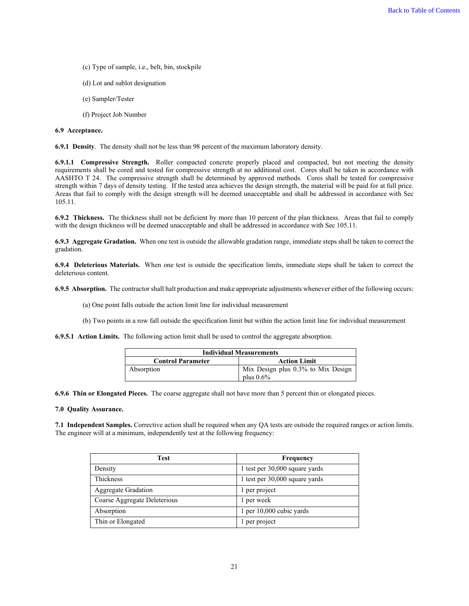- (c) Type of sample, i.e., belt, bin, stockpile
- (d) Lot and sublot designation
- (e) Sampler/Tester
- (f) Project Job Number

#### **6.9 Acceptance.**

**6.9.1 Density**.The density shall not be less than 98 percent of the maximum laboratory density.

**6.9.1.1 Compressive Strength.** Roller compacted concrete properly placed and compacted, but not meeting the density requirements shall be cored and tested for compressive strength at no additional cost. Cores shall be taken in accordance with AASHTO T 24. The compressive strength shall be determined by approved methods. Cores shall be tested for compressive strength within 7 days of density testing. If the tested area achieves the design strength, the material will be paid for at full price. Areas that fail to comply with the design strength will be deemed unacceptable and shall be addressed in accordance with Sec 105.11.

**6.9.2 Thickness.** The thickness shall not be deficient by more than 10 percent of the plan thickness. Areas that fail to comply with the design thickness will be deemed unacceptable and shall be addressed in accordance with Sec 105.11.

**6.9.3 Aggregate Gradation.** When one test is outside the allowable gradation range, immediate steps shall be taken to correct the gradation.

**6.9.4 Deleterious Materials.** When one test is outside the specification limits, immediate steps shall be taken to correct the deleterious content.

**6.9.5 Absorption.** The contractor shall halt production and make appropriate adjustments whenever either of the following occurs:

(a) One point falls outside the action limit line for individual measurement

(b) Two points in a row fall outside the specification limit but within the action limit line for individual measurement

**6.9.5.1 Action Limits.** The following action limit shall be used to control the aggregate absorption.

| <b>Individual Measurements</b> |                                    |
|--------------------------------|------------------------------------|
| <b>Control Parameter</b>       | <b>Action Limit</b>                |
| Absorption                     | Mix Design plus 0.3% to Mix Design |
|                                | plus $0.6\%$                       |

**6.9.6 Thin or Elongated Pieces.** The coarse aggregate shall not have more than 5 percent thin or elongated pieces.

#### **7.0 Quality Assurance.**

**7.1 Independent Samples.** Corrective action shall be required when any QA tests are outside the required ranges or action limits. The engineer will at a minimum, independently test at the following frequency:

| Test                         | Frequency                      |
|------------------------------|--------------------------------|
| Density                      | 1 test per 30,000 square yards |
| Thickness                    | 1 test per 30,000 square yards |
| <b>Aggregate Gradation</b>   | 1 per project                  |
| Coarse Aggregate Deleterious | 1 per week                     |
| Absorption                   | 1 per 10,000 cubic yards       |
| Thin or Elongated            | 1 per project                  |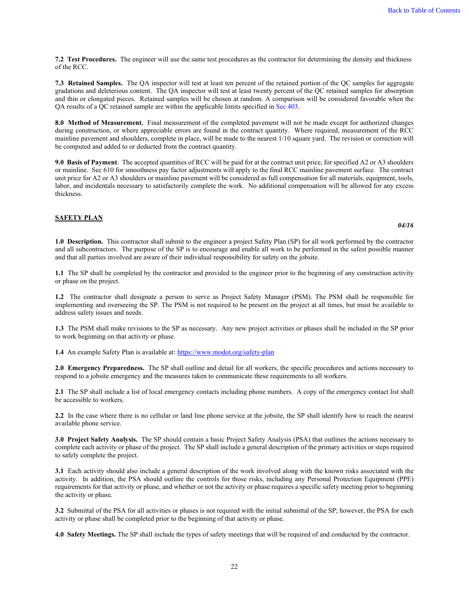**7.2 Test Procedures.** The engineer will use the same test procedures as the contractor for determining the density and thickness of the RCC.

**7.3 Retained Samples.** The QA inspector will test at least ten percent of the retained portion of the QC samples for aggregate gradations and deleterious content. The QA inspector will test at least twenty percent of the QC retained samples for absorption and thin or elongated pieces. Retained samples will be chosen at random. A comparison will be considered favorable when the QA results of a QC retained sample are within the applicable limits specified in Sec 403.

**8.0 Method of Measurement.** Final measurement of the completed pavement will not be made except for authorized changes during construction, or where appreciable errors are found in the contract quantity. Where required, measurement of the RCC mainline pavement and shoulders, complete in place, will be made to the nearest 1/10 square yard. The revision or correction will be computed and added to or deducted from the contract quantity.

**9.0 Basis of Payment**.The accepted quantities of RCC will be paid for at the contract unit price, for specified A2 or A3 shoulders or mainline. Sec 610 for smoothness pay factor adjustments will apply to the final RCC mainline pavement surface. The contract unit price for A2 or A3 shoulders or mainline pavement will be considered as full compensation for all materials, equipment, tools, labor, and incidentals necessary to satisfactorily complete the work. No additional compensation will be allowed for any excess thickness.

#### <span id="page-22-0"></span>**SAFETY PLAN**

**1.0 Description.** This contractor shall submit to the engineer a project Safety Plan (SP) for all work performed by the contractor and all subcontractors. The purpose of the SP is to encourage and enable all work to be performed in the safest possible manner and that all parties involved are aware of their individual responsibility for safety on the jobsite.

**1.1** The SP shall be completed by the contractor and provided to the engineer prior to the beginning of any construction activity or phase on the project.

**1.2** The contractor shall designate a person to serve as Project Safety Manager (PSM). The PSM shall be responsible for implementing and overseeing the SP. The PSM is not required to be present on the project at all times, but must be available to address safety issues and needs.

**1.3** The PSM shall make revisions to the SP as necessary. Any new project activities or phases shall be included in the SP prior to work beginning on that activity or phase.

**1.4** An example Safety Plan is available at[: https://www.modot.org/safety-plan](https://www.modot.org/safety-plan)

**2.0 Emergency Preparedness.** The SP shall outline and detail for all workers, the specific procedures and actions necessary to respond to a jobsite emergency and the measures taken to communicate these requirements to all workers.

**2.1** The SP shall include a list of local emergency contacts including phone numbers. A copy of the emergency contact list shall be accessible to workers.

**2.2** In the case where there is no cellular or land line phone service at the jobsite, the SP shall identify how to reach the nearest available phone service.

**3.0 Project Safety Analysis.** The SP should contain a basic Project Safety Analysis (PSA) that outlines the actions necessary to complete each activity or phase of the project. The SP shall include a general description of the primary activities or steps required to safely complete the project.

**3.1** Each activity should also include a general description of the work involved along with the known risks associated with the activity. In addition, the PSA should outline the controls for those risks, including any Personal Protection Equipment (PPE) requirements for that activity or phase, and whether or not the activity or phase requires a specific safety meeting prior to beginning the activity or phase.

**3.2** Submittal of the PSA for all activities or phases is not required with the initial submittal of the SP; however, the PSA for each activity or phase shall be completed prior to the beginning of that activity or phase.

**4.0 Safety Meetings.** The SP shall include the types of safety meetings that will be required of and conducted by the contractor.

*04/16*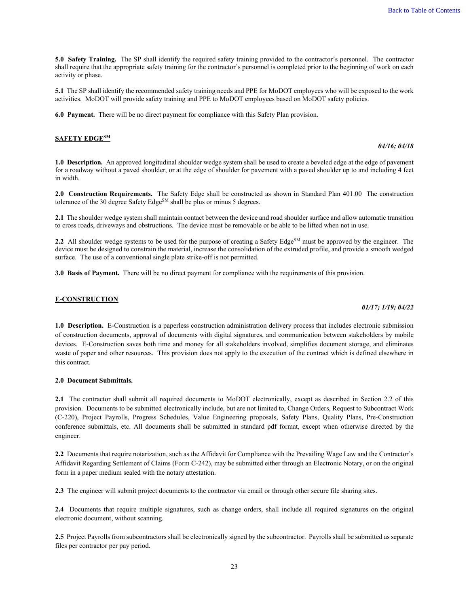**5.0 Safety Training.** The SP shall identify the required safety training provided to the contractor's personnel. The contractor shall require that the appropriate safety training for the contractor's personnel is completed prior to the beginning of work on each activity or phase.

**5.1** The SP shall identify the recommended safety training needs and PPE for MoDOT employees who will be exposed to the work activities. MoDOT will provide safety training and PPE to MoDOT employees based on MoDOT safety policies.

**6.0 Payment.** There will be no direct payment for compliance with this Safety Plan provision.

## <span id="page-23-0"></span>**SAFETY EDGESM**

*04/16; 04/18*

**1.0 Description.** An approved longitudinal shoulder wedge system shall be used to create a beveled edge at the edge of pavement for a roadway without a paved shoulder, or at the edge of shoulder for pavement with a paved shoulder up to and including 4 feet in width.

**2.0 Construction Requirements.** The Safety Edge shall be constructed as shown in Standard Plan 401.00 The construction tolerance of the 30 degree Safety Edge<sup>SM</sup> shall be plus or minus 5 degrees.

**2.1** The shoulder wedge system shall maintain contact between the device and road shoulder surface and allow automatic transition to cross roads, driveways and obstructions. The device must be removable or be able to be lifted when not in use.

**2.2** All shoulder wedge systems to be used for the purpose of creating a Safety Edge<sup>SM</sup> must be approved by the engineer. The device must be designed to constrain the material, increase the consolidation of the extruded profile, and provide a smooth wedged surface. The use of a conventional single plate strike-off is not permitted.

**3.0 Basis of Payment.** There will be no direct payment for compliance with the requirements of this provision.

#### <span id="page-23-1"></span>**E-CONSTRUCTION**

#### *01/17; 1/19; 04/22*

**1.0 Description.** E-Construction is a paperless construction administration delivery process that includes electronic submission of construction documents, approval of documents with digital signatures, and communication between stakeholders by mobile devices. E-Construction saves both time and money for all stakeholders involved, simplifies document storage, and eliminates waste of paper and other resources. This provision does not apply to the execution of the contract which is defined elsewhere in this contract.

#### **2.0 Document Submittals.**

**2.1** The contractor shall submit all required documents to MoDOT electronically, except as described in Section 2.2 of this provision. Documents to be submitted electronically include, but are not limited to, Change Orders, Request to Subcontract Work (C-220), Project Payrolls, Progress Schedules, Value Engineering proposals, Safety Plans, Quality Plans, Pre-Construction conference submittals, etc. All documents shall be submitted in standard pdf format, except when otherwise directed by the engineer.

**2.2** Documents that require notarization, such as the Affidavit for Compliance with the Prevailing Wage Law and the Contractor's Affidavit Regarding Settlement of Claims (Form C-242), may be submitted either through an Electronic Notary, or on the original form in a paper medium sealed with the notary attestation.

**2.3** The engineer will submit project documents to the contractor via email or through other secure file sharing sites.

**2.4** Documents that require multiple signatures, such as change orders, shall include all required signatures on the original electronic document, without scanning.

**2.5** Project Payrolls from subcontractors shall be electronically signed by the subcontractor. Payrolls shall be submitted as separate files per contractor per pay period.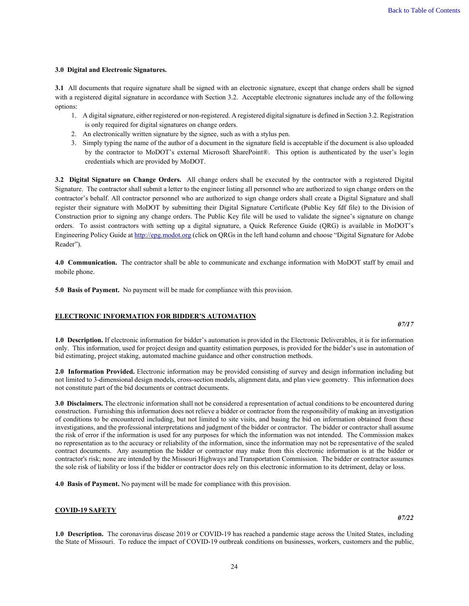#### **3.0 Digital and Electronic Signatures.**

**3.1** All documents that require signature shall be signed with an electronic signature, except that change orders shall be signed with a registered digital signature in accordance with Section 3.2. Acceptable electronic signatures include any of the following options:

- 1. A digital signature, either registered or non-registered. A registered digital signature is defined in Section 3.2. Registration is only required for digital signatures on change orders.
- 2. An electronically written signature by the signee, such as with a stylus pen.
- 3. Simply typing the name of the author of a document in the signature field is acceptable if the document is also uploaded by the contractor to MoDOT's external Microsoft SharePoint®. This option is authenticated by the user's login credentials which are provided by MoDOT.

**3.2 Digital Signature on Change Orders.** All change orders shall be executed by the contractor with a registered Digital Signature. The contractor shall submit a letter to the engineer listing all personnel who are authorized to sign change orders on the contractor's behalf. All contractor personnel who are authorized to sign change orders shall create a Digital Signature and shall register their signature with MoDOT by submitting their Digital Signature Certificate (Public Key fdf file) to the Division of Construction prior to signing any change orders. The Public Key file will be used to validate the signee's signature on change orders. To assist contractors with setting up a digital signature, a Quick Reference Guide (QRG) is available in MoDOT's Engineering Policy Guide a[t http://epg.modot.org](http://epg.modot.org/) (click on QRGs in the left hand column and choose "Digital Signature for Adobe Reader").

**4.0 Communication.** The contractor shall be able to communicate and exchange information with MoDOT staff by email and mobile phone.

**5.0 Basis of Payment.** No payment will be made for compliance with this provision.

#### <span id="page-24-0"></span>**ELECTRONIC INFORMATION FOR BIDDER'S AUTOMATION**

**1.0 Description.** If electronic information for bidder's automation is provided in the Electronic Deliverables, it is for information only. This information, used for project design and quantity estimation purposes, is provided for the bidder's use in automation of bid estimating, project staking, automated machine guidance and other construction methods.

**2.0 Information Provided.** Electronic information may be provided consisting of survey and design information including but not limited to 3-dimensional design models, cross-section models, alignment data, and plan view geometry. This information does not constitute part of the bid documents or contract documents.

**3.0 Disclaimers.** The electronic information shall not be considered a representation of actual conditions to be encountered during construction. Furnishing this information does not relieve a bidder or contractor from the responsibility of making an investigation of conditions to be encountered including, but not limited to site visits, and basing the bid on information obtained from these investigations, and the professional interpretations and judgment of the bidder or contractor. The bidder or contractor shall assume the risk of error if the information is used for any purposes for which the information was not intended. The Commission makes no representation as to the accuracy or reliability of the information, since the information may not be representative of the sealed contract documents. Any assumption the bidder or contractor may make from this electronic information is at the bidder or contractor's risk; none are intended by the Missouri Highways and Transportation Commission. The bidder or contractor assumes the sole risk of liability or loss if the bidder or contractor does rely on this electronic information to its detriment, delay or loss.

**4.0 Basis of Payment.** No payment will be made for compliance with this provision.

#### <span id="page-24-1"></span>**COVID-19 SAFETY**

**1.0 Description.** The coronavirus disease 2019 or COVID-19 has reached a pandemic stage across the United States, including the State of Missouri. To reduce the impact of COVID-19 outbreak conditions on businesses, workers, customers and the public,

*07/17* 

*07/22*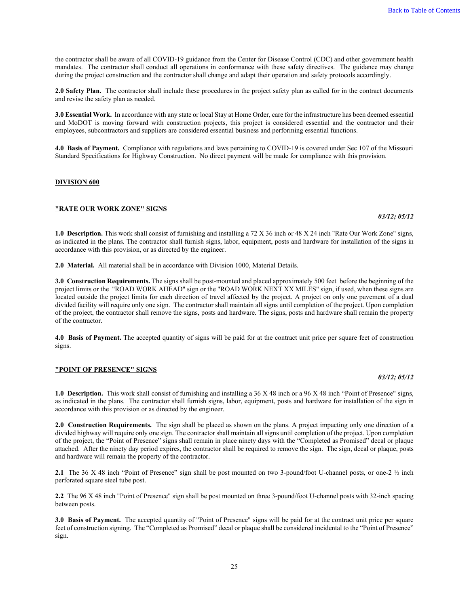the contractor shall be aware of all COVID-19 guidance from the Center for Disease Control (CDC) and other government health mandates. The contractor shall conduct all operations in conformance with these safety directives. The guidance may change during the project construction and the contractor shall change and adapt their operation and safety protocols accordingly.

**2.0 Safety Plan.** The contractor shall include these procedures in the project safety plan as called for in the contract documents and revise the safety plan as needed.

**3.0 Essential Work.** In accordance with any state or local Stay at Home Order, care for the infrastructure has been deemed essential and MoDOT is moving forward with construction projects, this project is considered essential and the contractor and their employees, subcontractors and suppliers are considered essential business and performing essential functions.

**4.0 Basis of Payment.** Compliance with regulations and laws pertaining to COVID-19 is covered under Sec 107 of the Missouri Standard Specifications for Highway Construction. No direct payment will be made for compliance with this provision.

#### <span id="page-25-0"></span>**DIVISION 600**

#### <span id="page-25-1"></span>**"RATE OUR WORK ZONE" SIGNS**

**1.0 Description.** This work shall consist of furnishing and installing a 72 X 36 inch or 48 X 24 inch "Rate Our Work Zone" signs, as indicated in the plans. The contractor shall furnish signs, labor, equipment, posts and hardware for installation of the signs in accordance with this provision, or as directed by the engineer.

**2.0 Material.** All material shall be in accordance with Division 1000, Material Details.

**3.0 Construction Requirements.** The signs shall be post-mounted and placed approximately 500 feet before the beginning of the project limits or the "ROAD WORK AHEAD" sign or the "ROAD WORK NEXT XX MILES" sign, if used, when these signs are located outside the project limits for each direction of travel affected by the project. A project on only one pavement of a dual divided facility will require only one sign. The contractor shall maintain all signs until completion of the project. Upon completion of the project, the contractor shall remove the signs, posts and hardware. The signs, posts and hardware shall remain the property of the contractor.

**4.0 Basis of Payment.** The accepted quantity of signs will be paid for at the contract unit price per square feet of construction signs.

#### <span id="page-25-2"></span>**"POINT OF PRESENCE" SIGNS**

## **1.0 Description.** This work shall consist of furnishing and installing a 36 X 48 inch or a 96 X 48 inch "Point of Presence" signs, as indicated in the plans. The contractor shall furnish signs, labor, equipment, posts and hardware for installation of the sign in accordance with this provision or as directed by the engineer.

**2.0 Construction Requirements.** The sign shall be placed as shown on the plans. A project impacting only one direction of a divided highway will require only one sign. The contractor shall maintain all signs until completion of the project. Upon completion of the project, the "Point of Presence" signs shall remain in place ninety days with the "Completed as Promised" decal or plaque attached. After the ninety day period expires, the contractor shall be required to remove the sign. The sign, decal or plaque, posts and hardware will remain the property of the contractor.

**2.1** The 36 X 48 inch "Point of Presence" sign shall be post mounted on two 3-pound/foot U-channel posts, or one-2 ½ inch perforated square steel tube post.

**2.2** The 96 X 48 inch "Point of Presence" sign shall be post mounted on three 3-pound/foot U-channel posts with 32-inch spacing between posts.

**3.0 Basis of Payment.** The accepted quantity of "Point of Presence" signs will be paid for at the contract unit price per square feet of construction signing. The "Completed as Promised" decal or plaque shall be considered incidental to the "Point of Presence" sign.

*03/12; 05/12*

Back to Table of Contents

## *03/12; 05/12*